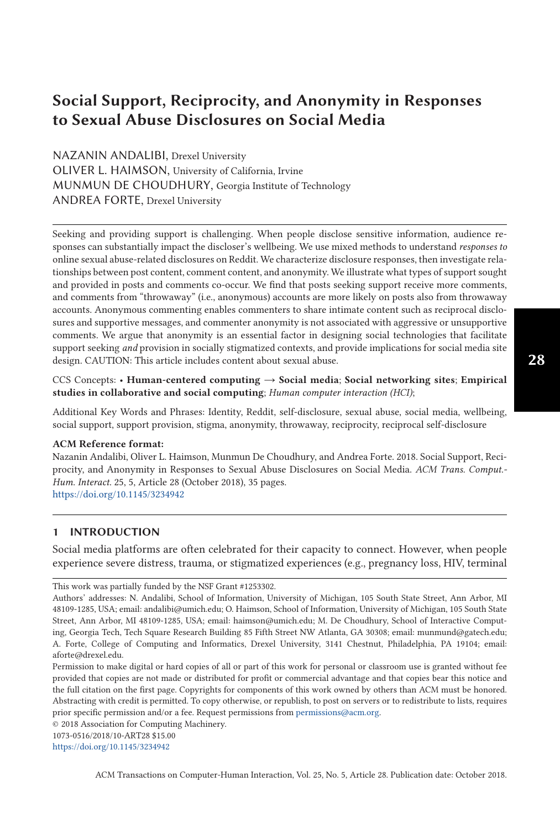# **Social Support, Reciprocity, and Anonymity in Responses to Sexual Abuse Disclosures on Social Media**

NAZANIN ANDALIBI, Drexel University OLIVER L. HAIMSON, University of California, Irvine MUNMUN DE CHOUDHURY, Georgia Institute of Technology ANDREA FORTE, Drexel University

Seeking and providing support is challenging. When people disclose sensitive information, audience responses can substantially impact the discloser's wellbeing. We use mixed methods to understand *responses to* online sexual abuse-related disclosures on Reddit. We characterize disclosure responses, then investigate relationships between post content, comment content, and anonymity. We illustrate what types of support sought and provided in posts and comments co-occur. We find that posts seeking support receive more comments, and comments from "throwaway" (i.e., anonymous) accounts are more likely on posts also from throwaway accounts. Anonymous commenting enables commenters to share intimate content such as reciprocal disclosures and supportive messages, and commenter anonymity is not associated with aggressive or unsupportive comments. We argue that anonymity is an essential factor in designing social technologies that facilitate support seeking *and* provision in socially stigmatized contexts, and provide implications for social media site design. CAUTION: This article includes content about sexual abuse.

CCS Concepts: • **Human-centered computing** → **Social media**; **Social networking sites**; **Empirical studies in collaborative and social computing**; *Human computer interaction (HCI)*;

Additional Key Words and Phrases: Identity, Reddit, self-disclosure, sexual abuse, social media, wellbeing, social support, support provision, stigma, anonymity, throwaway, reciprocity, reciprocal self-disclosure

#### **ACM Reference format:**

Nazanin Andalibi, Oliver L. Haimson, Munmun De Choudhury, and Andrea Forte. 2018. Social Support, Reciprocity, and Anonymity in Responses to Sexual Abuse Disclosures on Social Media. *ACM Trans. Comput.- Hum. Interact.* 25, 5, Article 28 (October 2018), 35 pages. <https://doi.org/10.1145/3234942>

# **1 INTRODUCTION**

Social media platforms are often celebrated for their capacity to connect. However, when people experience severe distress, trauma, or stigmatized experiences (e.g., pregnancy loss, HIV, terminal

© 2018 Association for Computing Machinery.

1073-0516/2018/10-ART28 \$15.00

<https://doi.org/10.1145/3234942>

This work was partially funded by the NSF Grant #1253302.

Authors' addresses: N. Andalibi, School of Information, University of Michigan, 105 South State Street, Ann Arbor, MI 48109-1285, USA; email: andalibi@umich.edu; O. Haimson, School of Information, University of Michigan, 105 South State Street, Ann Arbor, MI 48109-1285, USA; email: haimson@umich.edu; M. De Choudhury, School of Interactive Computing, Georgia Tech, Tech Square Research Building 85 Fifth Street NW Atlanta, GA 30308; email: munmund@gatech.edu; A. Forte, College of Computing and Informatics, Drexel University, 3141 Chestnut, Philadelphia, PA 19104; email: aforte@drexel.edu.

Permission to make digital or hard copies of all or part of this work for personal or classroom use is granted without fee provided that copies are not made or distributed for profit or commercial advantage and that copies bear this notice and the full citation on the first page. Copyrights for components of this work owned by others than ACM must be honored. Abstracting with credit is permitted. To copy otherwise, or republish, to post on servers or to redistribute to lists, requires prior specific permission and/or a fee. Request permissions from [permissions@acm.org.](mailto:permissions@acm.org)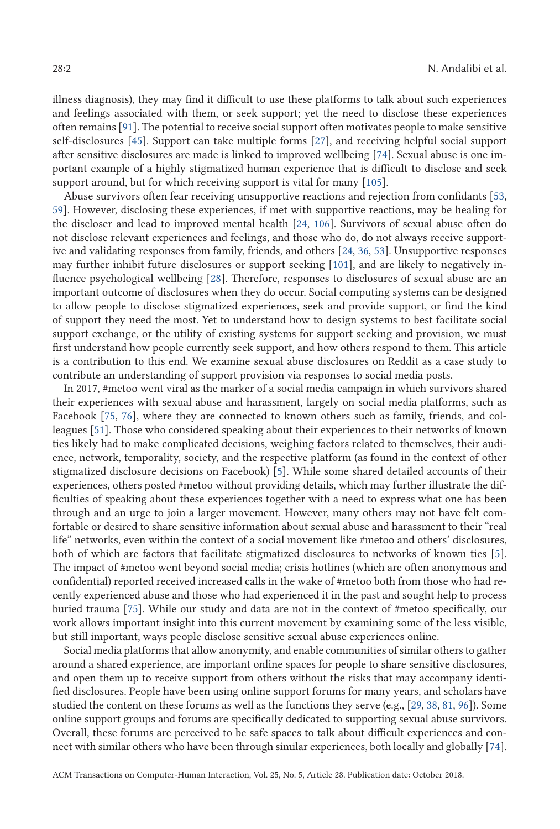illness diagnosis), they may find it difficult to use these platforms to talk about such experiences and feelings associated with them, or seek support; yet the need to disclose these experiences often remains [\[91\]](#page-33-0). The potential to receive social support often motivates people to make sensitive self-disclosures [\[45\]](#page-31-0). Support can take multiple forms [\[27\]](#page-30-0), and receiving helpful social support after sensitive disclosures are made is linked to improved wellbeing [\[74\]](#page-32-0). Sexual abuse is one important example of a highly stigmatized human experience that is difficult to disclose and seek support around, but for which receiving support is vital for many [\[105\]](#page-34-0).

Abuse survivors often fear receiving unsupportive reactions and rejection from confidants [\[53,](#page-32-0) [59\]](#page-32-0). However, disclosing these experiences, if met with supportive reactions, may be healing for the discloser and lead to improved mental health [\[24,](#page-30-0) [106\]](#page-34-0). Survivors of sexual abuse often do not disclose relevant experiences and feelings, and those who do, do not always receive supportive and validating responses from family, friends, and others [\[24,](#page-30-0) [36,](#page-31-0) [53\]](#page-32-0). Unsupportive responses may further inhibit future disclosures or support seeking [\[101\]](#page-34-0), and are likely to negatively influence psychological wellbeing [\[28\]](#page-30-0). Therefore, responses to disclosures of sexual abuse are an important outcome of disclosures when they do occur. Social computing systems can be designed to allow people to disclose stigmatized experiences, seek and provide support, or find the kind of support they need the most. Yet to understand how to design systems to best facilitate social support exchange, or the utility of existing systems for support seeking and provision, we must first understand how people currently seek support, and how others respond to them. This article is a contribution to this end. We examine sexual abuse disclosures on Reddit as a case study to contribute an understanding of support provision via responses to social media posts.

In 2017, #metoo went viral as the marker of a social media campaign in which survivors shared their experiences with sexual abuse and harassment, largely on social media platforms, such as Facebook [\[75,](#page-33-0) [76\]](#page-33-0), where they are connected to known others such as family, friends, and colleagues [\[51\]](#page-31-0). Those who considered speaking about their experiences to their networks of known ties likely had to make complicated decisions, weighing factors related to themselves, their audience, network, temporality, society, and the respective platform (as found in the context of other stigmatized disclosure decisions on Facebook) [\[5\]](#page-29-0). While some shared detailed accounts of their experiences, others posted #metoo without providing details, which may further illustrate the difficulties of speaking about these experiences together with a need to express what one has been through and an urge to join a larger movement. However, many others may not have felt comfortable or desired to share sensitive information about sexual abuse and harassment to their "real life" networks, even within the context of a social movement like #metoo and others' disclosures, both of which are factors that facilitate stigmatized disclosures to networks of known ties [\[5\]](#page-29-0). The impact of #metoo went beyond social media; crisis hotlines (which are often anonymous and confidential) reported received increased calls in the wake of #metoo both from those who had recently experienced abuse and those who had experienced it in the past and sought help to process buried trauma [\[75\]](#page-33-0). While our study and data are not in the context of #metoo specifically, our work allows important insight into this current movement by examining some of the less visible, but still important, ways people disclose sensitive sexual abuse experiences online.

Social media platforms that allow anonymity, and enable communities of similar others to gather around a shared experience, are important online spaces for people to share sensitive disclosures, and open them up to receive support from others without the risks that may accompany identified disclosures. People have been using online support forums for many years, and scholars have studied the content on these forums as well as the functions they serve (e.g., [\[29,](#page-30-0) [38,](#page-31-0) [81,](#page-33-0) [96\]](#page-33-0)). Some online support groups and forums are specifically dedicated to supporting sexual abuse survivors. Overall, these forums are perceived to be safe spaces to talk about difficult experiences and connect with similar others who have been through similar experiences, both locally and globally [\[74\]](#page-32-0).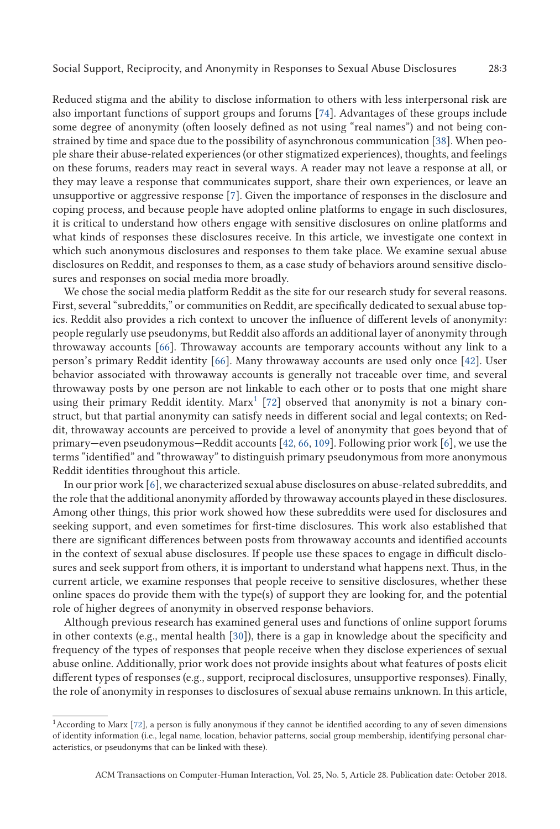Reduced stigma and the ability to disclose information to others with less interpersonal risk are also important functions of support groups and forums [\[74\]](#page-32-0). Advantages of these groups include some degree of anonymity (often loosely defined as not using "real names") and not being constrained by time and space due to the possibility of asynchronous communication [\[38\]](#page-31-0). When people share their abuse-related experiences (or other stigmatized experiences), thoughts, and feelings on these forums, readers may react in several ways. A reader may not leave a response at all, or they may leave a response that communicates support, share their own experiences, or leave an unsupportive or aggressive response [\[7\]](#page-30-0). Given the importance of responses in the disclosure and coping process, and because people have adopted online platforms to engage in such disclosures, it is critical to understand how others engage with sensitive disclosures on online platforms and what kinds of responses these disclosures receive. In this article, we investigate one context in which such anonymous disclosures and responses to them take place. We examine sexual abuse disclosures on Reddit, and responses to them, as a case study of behaviors around sensitive disclosures and responses on social media more broadly.

We chose the social media platform Reddit as the site for our research study for several reasons. First, several "subreddits," or communities on Reddit, are specifically dedicated to sexual abuse topics. Reddit also provides a rich context to uncover the influence of different levels of anonymity: people regularly use pseudonyms, but Reddit also affords an additional layer of anonymity through throwaway accounts [\[66\]](#page-32-0). Throwaway accounts are temporary accounts without any link to a person's primary Reddit identity [\[66\]](#page-32-0). Many throwaway accounts are used only once [\[42\]](#page-31-0). User behavior associated with throwaway accounts is generally not traceable over time, and several throwaway posts by one person are not linkable to each other or to posts that one might share using their primary Reddit identity.  $\text{Marx}^1$  [\[72\]](#page-32-0) observed that anonymity is not a binary construct, but that partial anonymity can satisfy needs in different social and legal contexts; on Reddit, throwaway accounts are perceived to provide a level of anonymity that goes beyond that of primary—even pseudonymous—Reddit accounts [\[42,](#page-31-0) [66,](#page-32-0) [109\]](#page-34-0). Following prior work [\[6\]](#page-29-0), we use the terms "identified" and "throwaway" to distinguish primary pseudonymous from more anonymous Reddit identities throughout this article.

In our prior work [\[6\]](#page-29-0), we characterized sexual abuse disclosures on abuse-related subreddits, and the role that the additional anonymity afforded by throwaway accounts played in these disclosures. Among other things, this prior work showed how these subreddits were used for disclosures and seeking support, and even sometimes for first-time disclosures. This work also established that there are significant differences between posts from throwaway accounts and identified accounts in the context of sexual abuse disclosures. If people use these spaces to engage in difficult disclosures and seek support from others, it is important to understand what happens next. Thus, in the current article, we examine responses that people receive to sensitive disclosures, whether these online spaces do provide them with the type(s) of support they are looking for, and the potential role of higher degrees of anonymity in observed response behaviors.

Although previous research has examined general uses and functions of online support forums in other contexts (e.g., mental health [\[30\]](#page-31-0)), there is a gap in knowledge about the specificity and frequency of the types of responses that people receive when they disclose experiences of sexual abuse online. Additionally, prior work does not provide insights about what features of posts elicit different types of responses (e.g., support, reciprocal disclosures, unsupportive responses). Finally, the role of anonymity in responses to disclosures of sexual abuse remains unknown. In this article,

<sup>1</sup>According to Marx [\[72\]](#page-32-0), a person is fully anonymous if they cannot be identified according to any of seven dimensions of identity information (i.e., legal name, location, behavior patterns, social group membership, identifying personal characteristics, or pseudonyms that can be linked with these).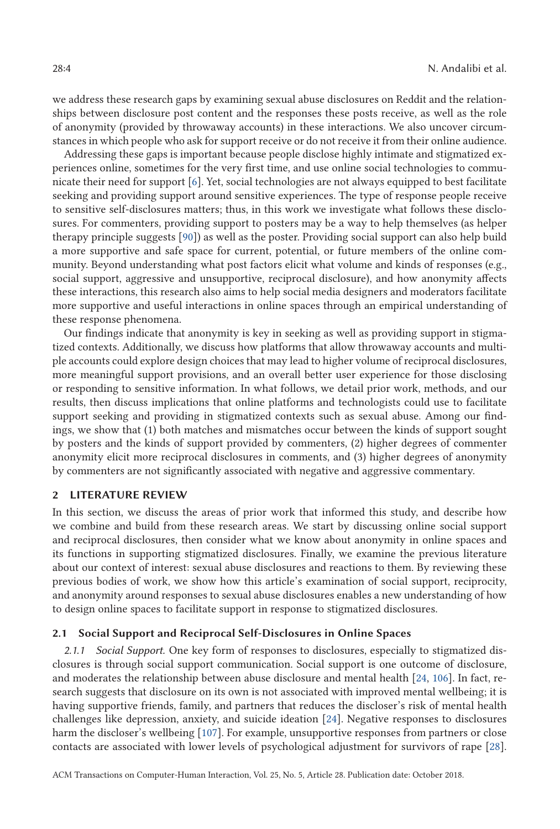we address these research gaps by examining sexual abuse disclosures on Reddit and the relationships between disclosure post content and the responses these posts receive, as well as the role of anonymity (provided by throwaway accounts) in these interactions. We also uncover circumstances in which people who ask for support receive or do not receive it from their online audience.

Addressing these gaps is important because people disclose highly intimate and stigmatized experiences online, sometimes for the very first time, and use online social technologies to communicate their need for support [\[6\]](#page-29-0). Yet, social technologies are not always equipped to best facilitate seeking and providing support around sensitive experiences. The type of response people receive to sensitive self-disclosures matters; thus, in this work we investigate what follows these disclosures. For commenters, providing support to posters may be a way to help themselves (as helper therapy principle suggests [\[90\]](#page-33-0)) as well as the poster. Providing social support can also help build a more supportive and safe space for current, potential, or future members of the online community. Beyond understanding what post factors elicit what volume and kinds of responses (e.g., social support, aggressive and unsupportive, reciprocal disclosure), and how anonymity affects these interactions, this research also aims to help social media designers and moderators facilitate more supportive and useful interactions in online spaces through an empirical understanding of these response phenomena.

Our findings indicate that anonymity is key in seeking as well as providing support in stigmatized contexts. Additionally, we discuss how platforms that allow throwaway accounts and multiple accounts could explore design choices that may lead to higher volume of reciprocal disclosures, more meaningful support provisions, and an overall better user experience for those disclosing or responding to sensitive information. In what follows, we detail prior work, methods, and our results, then discuss implications that online platforms and technologists could use to facilitate support seeking and providing in stigmatized contexts such as sexual abuse. Among our findings, we show that (1) both matches and mismatches occur between the kinds of support sought by posters and the kinds of support provided by commenters, (2) higher degrees of commenter anonymity elicit more reciprocal disclosures in comments, and (3) higher degrees of anonymity by commenters are not significantly associated with negative and aggressive commentary.

### **2 LITERATURE REVIEW**

In this section, we discuss the areas of prior work that informed this study, and describe how we combine and build from these research areas. We start by discussing online social support and reciprocal disclosures, then consider what we know about anonymity in online spaces and its functions in supporting stigmatized disclosures. Finally, we examine the previous literature about our context of interest: sexual abuse disclosures and reactions to them. By reviewing these previous bodies of work, we show how this article's examination of social support, reciprocity, and anonymity around responses to sexual abuse disclosures enables a new understanding of how to design online spaces to facilitate support in response to stigmatized disclosures.

#### **2.1 Social Support and Reciprocal Self-Disclosures in Online Spaces**

*2.1.1 Social Support.* One key form of responses to disclosures, especially to stigmatized disclosures is through social support communication. Social support is one outcome of disclosure, and moderates the relationship between abuse disclosure and mental health [\[24,](#page-30-0) [106\]](#page-34-0). In fact, research suggests that disclosure on its own is not associated with improved mental wellbeing; it is having supportive friends, family, and partners that reduces the discloser's risk of mental health challenges like depression, anxiety, and suicide ideation [\[24\]](#page-30-0). Negative responses to disclosures harm the discloser's wellbeing [\[107\]](#page-34-0). For example, unsupportive responses from partners or close contacts are associated with lower levels of psychological adjustment for survivors of rape [\[28\]](#page-30-0).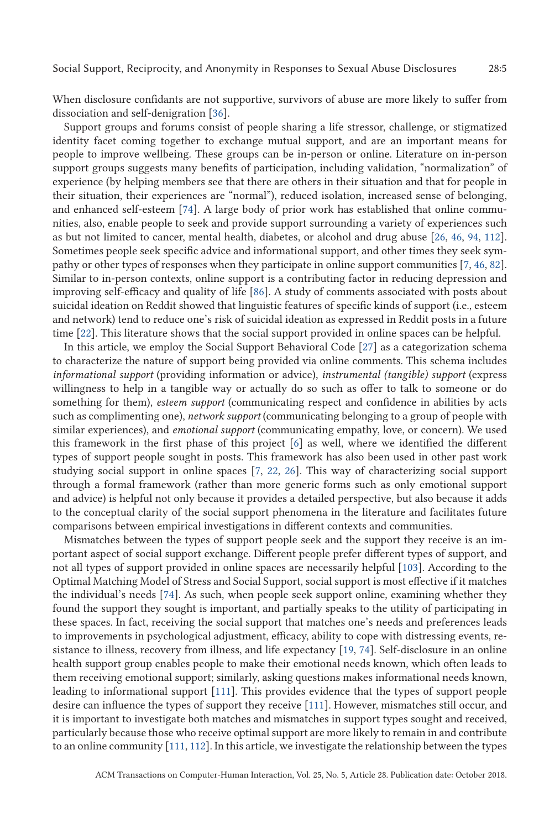When disclosure confidants are not supportive, survivors of abuse are more likely to suffer from dissociation and self-denigration [\[36\]](#page-31-0).

Support groups and forums consist of people sharing a life stressor, challenge, or stigmatized identity facet coming together to exchange mutual support, and are an important means for people to improve wellbeing. These groups can be in-person or online. Literature on in-person support groups suggests many benefits of participation, including validation, "normalization" of experience (by helping members see that there are others in their situation and that for people in their situation, their experiences are "normal"), reduced isolation, increased sense of belonging, and enhanced self-esteem [\[74\]](#page-32-0). A large body of prior work has established that online communities, also, enable people to seek and provide support surrounding a variety of experiences such as but not limited to cancer, mental health, diabetes, or alcohol and drug abuse [\[26,](#page-30-0) [46,](#page-31-0) [94,](#page-33-0) [112\]](#page-34-0). Sometimes people seek specific advice and informational support, and other times they seek sympathy or other types of responses when they participate in online support communities [\[7,](#page-30-0) [46,](#page-31-0) [82\]](#page-33-0). Similar to in-person contexts, online support is a contributing factor in reducing depression and improving self-efficacy and quality of life [\[86\]](#page-33-0). A study of comments associated with posts about suicidal ideation on Reddit showed that linguistic features of specific kinds of support (i.e., esteem and network) tend to reduce one's risk of suicidal ideation as expressed in Reddit posts in a future time [\[22\]](#page-30-0). This literature shows that the social support provided in online spaces can be helpful.

In this article, we employ the Social Support Behavioral Code [\[27\]](#page-30-0) as a categorization schema to characterize the nature of support being provided via online comments. This schema includes *informational support* (providing information or advice), *instrumental (tangible) support* (express willingness to help in a tangible way or actually do so such as offer to talk to someone or do something for them), *esteem support* (communicating respect and confidence in abilities by acts such as complimenting one), *network support* (communicating belonging to a group of people with similar experiences), and *emotional support* (communicating empathy, love, or concern). We used this framework in the first phase of this project [\[6\]](#page-29-0) as well, where we identified the different types of support people sought in posts. This framework has also been used in other past work studying social support in online spaces [\[7,](#page-30-0) [22,](#page-30-0) [26\]](#page-30-0). This way of characterizing social support through a formal framework (rather than more generic forms such as only emotional support and advice) is helpful not only because it provides a detailed perspective, but also because it adds to the conceptual clarity of the social support phenomena in the literature and facilitates future comparisons between empirical investigations in different contexts and communities.

Mismatches between the types of support people seek and the support they receive is an important aspect of social support exchange. Different people prefer different types of support, and not all types of support provided in online spaces are necessarily helpful [\[103\]](#page-34-0). According to the Optimal Matching Model of Stress and Social Support, social support is most effective if it matches the individual's needs [\[74\]](#page-32-0). As such, when people seek support online, examining whether they found the support they sought is important, and partially speaks to the utility of participating in these spaces. In fact, receiving the social support that matches one's needs and preferences leads to improvements in psychological adjustment, efficacy, ability to cope with distressing events, resistance to illness, recovery from illness, and life expectancy [\[19,](#page-30-0) [74\]](#page-32-0). Self-disclosure in an online health support group enables people to make their emotional needs known, which often leads to them receiving emotional support; similarly, asking questions makes informational needs known, leading to informational support [\[111\]](#page-34-0). This provides evidence that the types of support people desire can influence the types of support they receive [\[111\]](#page-34-0). However, mismatches still occur, and it is important to investigate both matches and mismatches in support types sought and received, particularly because those who receive optimal support are more likely to remain in and contribute to an online community [\[111,](#page-34-0) [112\]](#page-34-0). In this article, we investigate the relationship between the types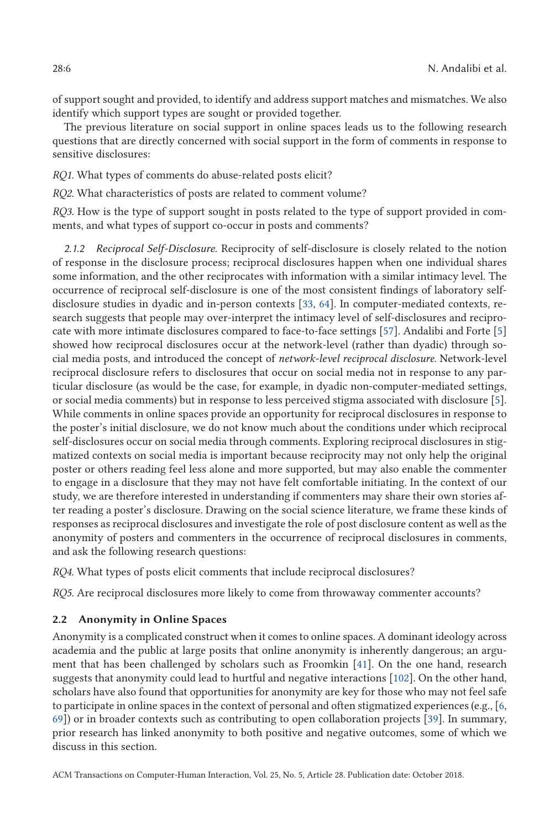of support sought and provided, to identify and address support matches and mismatches. We also identify which support types are sought or provided together.

The previous literature on social support in online spaces leads us to the following research questions that are directly concerned with social support in the form of comments in response to sensitive disclosures:

*RQ1.* What types of comments do abuse-related posts elicit?

*RQ2.* What characteristics of posts are related to comment volume?

*RQ3.* How is the type of support sought in posts related to the type of support provided in comments, and what types of support co-occur in posts and comments?

*2.1.2 Reciprocal Self-Disclosure.* Reciprocity of self-disclosure is closely related to the notion of response in the disclosure process; reciprocal disclosures happen when one individual shares some information, and the other reciprocates with information with a similar intimacy level. The occurrence of reciprocal self-disclosure is one of the most consistent findings of laboratory selfdisclosure studies in dyadic and in-person contexts [\[33,](#page-31-0) [64\]](#page-32-0). In computer-mediated contexts, research suggests that people may over-interpret the intimacy level of self-disclosures and reciprocate with more intimate disclosures compared to face-to-face settings [\[57\]](#page-32-0). Andalibi and Forte [\[5\]](#page-29-0) showed how reciprocal disclosures occur at the network-level (rather than dyadic) through social media posts, and introduced the concept of *network-level reciprocal disclosure*. Network-level reciprocal disclosure refers to disclosures that occur on social media not in response to any particular disclosure (as would be the case, for example, in dyadic non-computer-mediated settings, or social media comments) but in response to less perceived stigma associated with disclosure [\[5\]](#page-29-0). While comments in online spaces provide an opportunity for reciprocal disclosures in response to the poster's initial disclosure, we do not know much about the conditions under which reciprocal self-disclosures occur on social media through comments. Exploring reciprocal disclosures in stigmatized contexts on social media is important because reciprocity may not only help the original poster or others reading feel less alone and more supported, but may also enable the commenter to engage in a disclosure that they may not have felt comfortable initiating. In the context of our study, we are therefore interested in understanding if commenters may share their own stories after reading a poster's disclosure. Drawing on the social science literature, we frame these kinds of responses as reciprocal disclosures and investigate the role of post disclosure content as well as the anonymity of posters and commenters in the occurrence of reciprocal disclosures in comments, and ask the following research questions:

*RQ4.* What types of posts elicit comments that include reciprocal disclosures?

*RQ5.* Are reciprocal disclosures more likely to come from throwaway commenter accounts?

#### **2.2 Anonymity in Online Spaces**

Anonymity is a complicated construct when it comes to online spaces. A dominant ideology across academia and the public at large posits that online anonymity is inherently dangerous; an argument that has been challenged by scholars such as Froomkin [\[41\]](#page-31-0). On the one hand, research suggests that anonymity could lead to hurtful and negative interactions [\[102\]](#page-34-0). On the other hand, scholars have also found that opportunities for anonymity are key for those who may not feel safe to participate in online spaces in the context of personal and often stigmatized experiences (e.g., [\[6,](#page-29-0) [69\]](#page-32-0)) or in broader contexts such as contributing to open collaboration projects [\[39\]](#page-31-0). In summary, prior research has linked anonymity to both positive and negative outcomes, some of which we discuss in this section.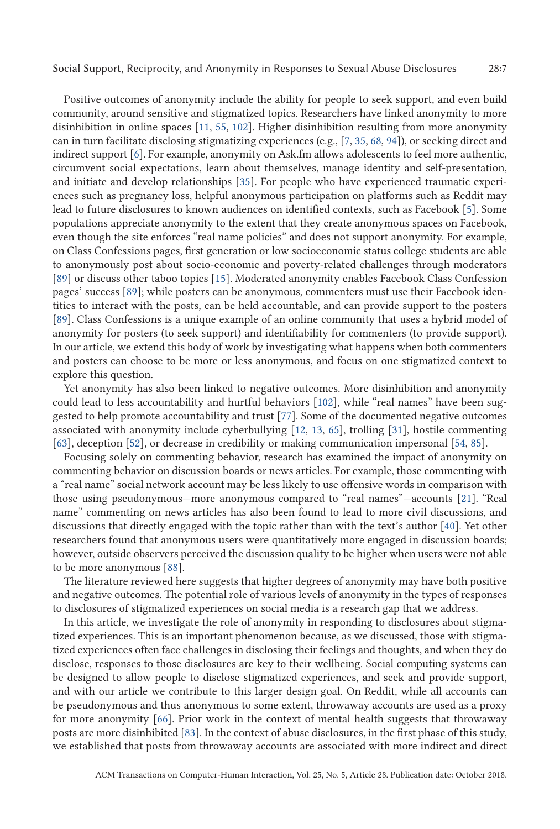Positive outcomes of anonymity include the ability for people to seek support, and even build community, around sensitive and stigmatized topics. Researchers have linked anonymity to more disinhibition in online spaces [\[11,](#page-30-0) [55,](#page-32-0) [102\]](#page-34-0). Higher disinhibition resulting from more anonymity can in turn facilitate disclosing stigmatizing experiences (e.g., [\[7,](#page-30-0) [35,](#page-31-0) [68,](#page-32-0) [94\]](#page-33-0)), or seeking direct and indirect support [\[6\]](#page-29-0). For example, anonymity on Ask.fm allows adolescents to feel more authentic, circumvent social expectations, learn about themselves, manage identity and self-presentation, and initiate and develop relationships [\[35\]](#page-31-0). For people who have experienced traumatic experiences such as pregnancy loss, helpful anonymous participation on platforms such as Reddit may lead to future disclosures to known audiences on identified contexts, such as Facebook [\[5\]](#page-29-0). Some populations appreciate anonymity to the extent that they create anonymous spaces on Facebook, even though the site enforces "real name policies" and does not support anonymity. For example, on Class Confessions pages, first generation or low socioeconomic status college students are able to anonymously post about socio-economic and poverty-related challenges through moderators [\[89\]](#page-33-0) or discuss other taboo topics [\[15\]](#page-30-0). Moderated anonymity enables Facebook Class Confession pages' success [\[89\]](#page-33-0); while posters can be anonymous, commenters must use their Facebook identities to interact with the posts, can be held accountable, and can provide support to the posters [\[89\]](#page-33-0). Class Confessions is a unique example of an online community that uses a hybrid model of anonymity for posters (to seek support) and identifiability for commenters (to provide support). In our article, we extend this body of work by investigating what happens when both commenters and posters can choose to be more or less anonymous, and focus on one stigmatized context to explore this question.

Yet anonymity has also been linked to negative outcomes. More disinhibition and anonymity could lead to less accountability and hurtful behaviors [\[102\]](#page-34-0), while "real names" have been suggested to help promote accountability and trust [\[77\]](#page-33-0). Some of the documented negative outcomes associated with anonymity include cyberbullying [\[12,](#page-30-0) [13,](#page-30-0) [65\]](#page-32-0), trolling [\[31\]](#page-31-0), hostile commenting [\[63\]](#page-32-0), deception [\[52\]](#page-31-0), or decrease in credibility or making communication impersonal [\[54,](#page-32-0) [85\]](#page-33-0).

Focusing solely on commenting behavior, research has examined the impact of anonymity on commenting behavior on discussion boards or news articles. For example, those commenting with a "real name" social network account may be less likely to use offensive words in comparison with those using pseudonymous—more anonymous compared to "real names"—accounts [\[21\]](#page-30-0). "Real name" commenting on news articles has also been found to lead to more civil discussions, and discussions that directly engaged with the topic rather than with the text's author [\[40\]](#page-31-0). Yet other researchers found that anonymous users were quantitatively more engaged in discussion boards; however, outside observers perceived the discussion quality to be higher when users were not able to be more anonymous [\[88\]](#page-33-0).

The literature reviewed here suggests that higher degrees of anonymity may have both positive and negative outcomes. The potential role of various levels of anonymity in the types of responses to disclosures of stigmatized experiences on social media is a research gap that we address.

In this article, we investigate the role of anonymity in responding to disclosures about stigmatized experiences. This is an important phenomenon because, as we discussed, those with stigmatized experiences often face challenges in disclosing their feelings and thoughts, and when they do disclose, responses to those disclosures are key to their wellbeing. Social computing systems can be designed to allow people to disclose stigmatized experiences, and seek and provide support, and with our article we contribute to this larger design goal. On Reddit, while all accounts can be pseudonymous and thus anonymous to some extent, throwaway accounts are used as a proxy for more anonymity [\[66\]](#page-32-0). Prior work in the context of mental health suggests that throwaway posts are more disinhibited [\[83\]](#page-33-0). In the context of abuse disclosures, in the first phase of this study, we established that posts from throwaway accounts are associated with more indirect and direct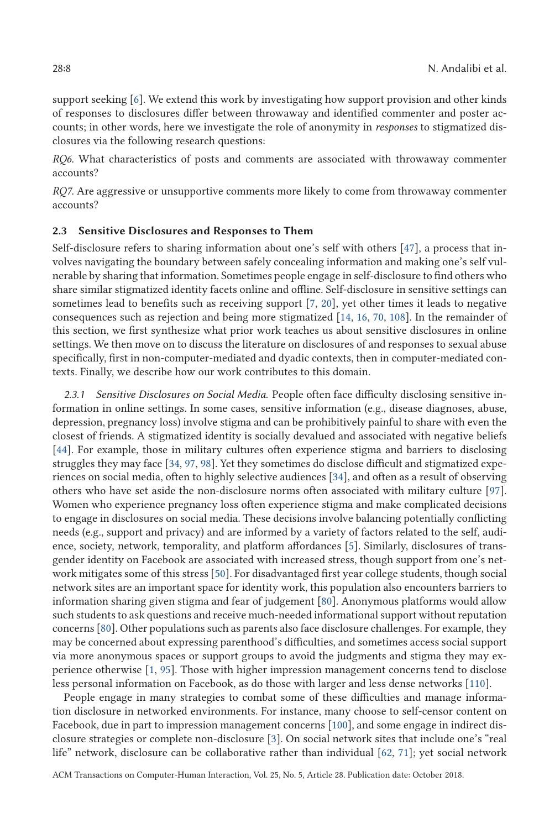support seeking [\[6\]](#page-29-0). We extend this work by investigating how support provision and other kinds of responses to disclosures differ between throwaway and identified commenter and poster accounts; in other words, here we investigate the role of anonymity in *responses* to stigmatized disclosures via the following research questions:

*RQ6.* What characteristics of posts and comments are associated with throwaway commenter accounts?

*RQ7.* Are aggressive or unsupportive comments more likely to come from throwaway commenter accounts?

#### **2.3 Sensitive Disclosures and Responses to Them**

Self-disclosure refers to sharing information about one's self with others [\[47\]](#page-31-0), a process that involves navigating the boundary between safely concealing information and making one's self vulnerable by sharing that information. Sometimes people engage in self-disclosure to find others who share similar stigmatized identity facets online and offline. Self-disclosure in sensitive settings can sometimes lead to benefits such as receiving support [\[7,](#page-30-0) [20\]](#page-30-0), yet other times it leads to negative consequences such as rejection and being more stigmatized [\[14,](#page-30-0) [16,](#page-30-0) [70,](#page-32-0) [108\]](#page-34-0). In the remainder of this section, we first synthesize what prior work teaches us about sensitive disclosures in online settings. We then move on to discuss the literature on disclosures of and responses to sexual abuse specifically, first in non-computer-mediated and dyadic contexts, then in computer-mediated contexts. Finally, we describe how our work contributes to this domain.

*2.3.1 Sensitive Disclosures on Social Media.* People often face difficulty disclosing sensitive information in online settings. In some cases, sensitive information (e.g., disease diagnoses, abuse, depression, pregnancy loss) involve stigma and can be prohibitively painful to share with even the closest of friends. A stigmatized identity is socially devalued and associated with negative beliefs [\[44\]](#page-31-0). For example, those in military cultures often experience stigma and barriers to disclosing struggles they may face [\[34,](#page-31-0) [97,](#page-33-0) [98\]](#page-34-0). Yet they sometimes do disclose difficult and stigmatized experiences on social media, often to highly selective audiences [\[34\]](#page-31-0), and often as a result of observing others who have set aside the non-disclosure norms often associated with military culture [\[97\]](#page-33-0). Women who experience pregnancy loss often experience stigma and make complicated decisions to engage in disclosures on social media. These decisions involve balancing potentially conflicting needs (e.g., support and privacy) and are informed by a variety of factors related to the self, audience, society, network, temporality, and platform affordances [\[5\]](#page-29-0). Similarly, disclosures of transgender identity on Facebook are associated with increased stress, though support from one's network mitigates some of this stress [\[50\]](#page-31-0). For disadvantaged first year college students, though social network sites are an important space for identity work, this population also encounters barriers to information sharing given stigma and fear of judgement [\[80\]](#page-33-0). Anonymous platforms would allow such students to ask questions and receive much-needed informational support without reputation concerns [\[80\]](#page-33-0). Other populations such as parents also face disclosure challenges. For example, they may be concerned about expressing parenthood's difficulties, and sometimes access social support via more anonymous spaces or support groups to avoid the judgments and stigma they may experience otherwise [\[1,](#page-29-0) [95\]](#page-33-0). Those with higher impression management concerns tend to disclose less personal information on Facebook, as do those with larger and less dense networks [\[110\]](#page-34-0).

People engage in many strategies to combat some of these difficulties and manage information disclosure in networked environments. For instance, many choose to self-censor content on Facebook, due in part to impression management concerns [\[100\]](#page-34-0), and some engage in indirect disclosure strategies or complete non-disclosure [\[3\]](#page-29-0). On social network sites that include one's "real life" network, disclosure can be collaborative rather than individual [\[62,](#page-32-0) [71\]](#page-32-0); yet social network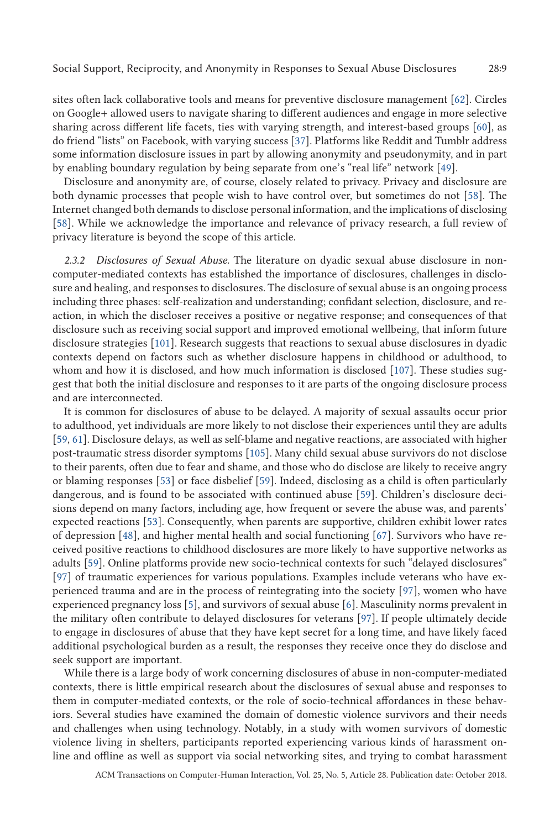sites often lack collaborative tools and means for preventive disclosure management [\[62\]](#page-32-0). Circles on Google+ allowed users to navigate sharing to different audiences and engage in more selective sharing across different life facets, ties with varying strength, and interest-based groups [\[60\]](#page-32-0), as do friend "lists" on Facebook, with varying success [\[37\]](#page-31-0). Platforms like Reddit and Tumblr address some information disclosure issues in part by allowing anonymity and pseudonymity, and in part by enabling boundary regulation by being separate from one's "real life" network [\[49\]](#page-31-0).

Disclosure and anonymity are, of course, closely related to privacy. Privacy and disclosure are both dynamic processes that people wish to have control over, but sometimes do not [\[58\]](#page-32-0). The Internet changed both demands to disclose personal information, and the implications of disclosing [\[58\]](#page-32-0). While we acknowledge the importance and relevance of privacy research, a full review of privacy literature is beyond the scope of this article.

*2.3.2 Disclosures of Sexual Abuse.* The literature on dyadic sexual abuse disclosure in noncomputer-mediated contexts has established the importance of disclosures, challenges in disclosure and healing, and responses to disclosures. The disclosure of sexual abuse is an ongoing process including three phases: self-realization and understanding; confidant selection, disclosure, and reaction, in which the discloser receives a positive or negative response; and consequences of that disclosure such as receiving social support and improved emotional wellbeing, that inform future disclosure strategies [\[101\]](#page-34-0). Research suggests that reactions to sexual abuse disclosures in dyadic contexts depend on factors such as whether disclosure happens in childhood or adulthood, to whom and how it is disclosed, and how much information is disclosed [\[107\]](#page-34-0). These studies suggest that both the initial disclosure and responses to it are parts of the ongoing disclosure process and are interconnected.

It is common for disclosures of abuse to be delayed. A majority of sexual assaults occur prior to adulthood, yet individuals are more likely to not disclose their experiences until they are adults [\[59,](#page-32-0) [61\]](#page-32-0). Disclosure delays, as well as self-blame and negative reactions, are associated with higher post-traumatic stress disorder symptoms [\[105\]](#page-34-0). Many child sexual abuse survivors do not disclose to their parents, often due to fear and shame, and those who do disclose are likely to receive angry or blaming responses [\[53\]](#page-32-0) or face disbelief [\[59\]](#page-32-0). Indeed, disclosing as a child is often particularly dangerous, and is found to be associated with continued abuse [\[59\]](#page-32-0). Children's disclosure decisions depend on many factors, including age, how frequent or severe the abuse was, and parents' expected reactions [\[53\]](#page-32-0). Consequently, when parents are supportive, children exhibit lower rates of depression [\[48\]](#page-31-0), and higher mental health and social functioning [\[67\]](#page-32-0). Survivors who have received positive reactions to childhood disclosures are more likely to have supportive networks as adults [\[59\]](#page-32-0). Online platforms provide new socio-technical contexts for such "delayed disclosures" [\[97\]](#page-33-0) of traumatic experiences for various populations. Examples include veterans who have experienced trauma and are in the process of reintegrating into the society [\[97\]](#page-33-0), women who have experienced pregnancy loss [\[5\]](#page-29-0), and survivors of sexual abuse [\[6\]](#page-29-0). Masculinity norms prevalent in the military often contribute to delayed disclosures for veterans [\[97\]](#page-33-0). If people ultimately decide to engage in disclosures of abuse that they have kept secret for a long time, and have likely faced additional psychological burden as a result, the responses they receive once they do disclose and seek support are important.

While there is a large body of work concerning disclosures of abuse in non-computer-mediated contexts, there is little empirical research about the disclosures of sexual abuse and responses to them in computer-mediated contexts, or the role of socio-technical affordances in these behaviors. Several studies have examined the domain of domestic violence survivors and their needs and challenges when using technology. Notably, in a study with women survivors of domestic violence living in shelters, participants reported experiencing various kinds of harassment online and offline as well as support via social networking sites, and trying to combat harassment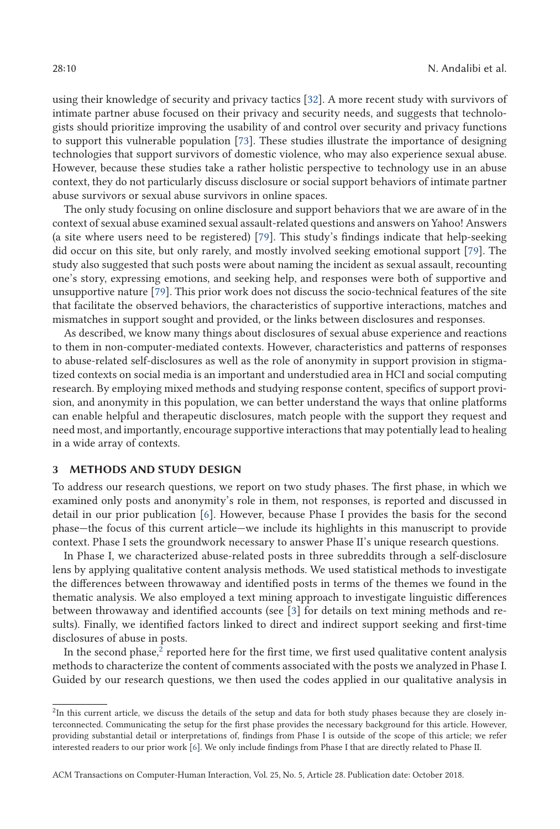using their knowledge of security and privacy tactics [\[32\]](#page-31-0). A more recent study with survivors of intimate partner abuse focused on their privacy and security needs, and suggests that technologists should prioritize improving the usability of and control over security and privacy functions to support this vulnerable population [\[73\]](#page-32-0). These studies illustrate the importance of designing technologies that support survivors of domestic violence, who may also experience sexual abuse. However, because these studies take a rather holistic perspective to technology use in an abuse context, they do not particularly discuss disclosure or social support behaviors of intimate partner abuse survivors or sexual abuse survivors in online spaces.

The only study focusing on online disclosure and support behaviors that we are aware of in the context of sexual abuse examined sexual assault-related questions and answers on Yahoo! Answers (a site where users need to be registered) [\[79\]](#page-33-0). This study's findings indicate that help-seeking did occur on this site, but only rarely, and mostly involved seeking emotional support [\[79\]](#page-33-0). The study also suggested that such posts were about naming the incident as sexual assault, recounting one's story, expressing emotions, and seeking help, and responses were both of supportive and unsupportive nature [\[79\]](#page-33-0). This prior work does not discuss the socio-technical features of the site that facilitate the observed behaviors, the characteristics of supportive interactions, matches and mismatches in support sought and provided, or the links between disclosures and responses.

As described, we know many things about disclosures of sexual abuse experience and reactions to them in non-computer-mediated contexts. However, characteristics and patterns of responses to abuse-related self-disclosures as well as the role of anonymity in support provision in stigmatized contexts on social media is an important and understudied area in HCI and social computing research. By employing mixed methods and studying response content, specifics of support provision, and anonymity in this population, we can better understand the ways that online platforms can enable helpful and therapeutic disclosures, match people with the support they request and need most, and importantly, encourage supportive interactions that may potentially lead to healing in a wide array of contexts.

### **3 METHODS AND STUDY DESIGN**

To address our research questions, we report on two study phases. The first phase, in which we examined only posts and anonymity's role in them, not responses, is reported and discussed in detail in our prior publication [\[6\]](#page-29-0). However, because Phase I provides the basis for the second phase—the focus of this current article—we include its highlights in this manuscript to provide context. Phase I sets the groundwork necessary to answer Phase II's unique research questions.

In Phase I, we characterized abuse-related posts in three subreddits through a self-disclosure lens by applying qualitative content analysis methods. We used statistical methods to investigate the differences between throwaway and identified posts in terms of the themes we found in the thematic analysis. We also employed a text mining approach to investigate linguistic differences between throwaway and identified accounts (see [\[3\]](#page-29-0) for details on text mining methods and results). Finally, we identified factors linked to direct and indirect support seeking and first-time disclosures of abuse in posts.

In the second phase, $^2$  reported here for the first time, we first used qualitative content analysis methods to characterize the content of comments associated with the posts we analyzed in Phase I. Guided by our research questions, we then used the codes applied in our qualitative analysis in

<sup>&</sup>lt;sup>2</sup>In this current article, we discuss the details of the setup and data for both study phases because they are closely interconnected. Communicating the setup for the first phase provides the necessary background for this article. However, providing substantial detail or interpretations of, findings from Phase I is outside of the scope of this article; we refer interested readers to our prior work [\[6\]](#page-29-0). We only include findings from Phase I that are directly related to Phase II.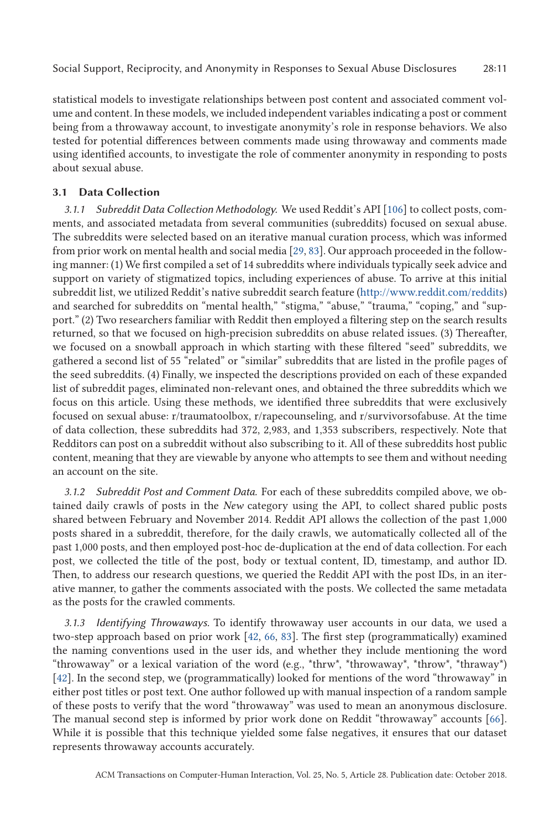Social Support, Reciprocity, and Anonymity in Responses to Sexual Abuse Disclosures 28:11

statistical models to investigate relationships between post content and associated comment volume and content. In these models, we included independent variables indicating a post or comment being from a throwaway account, to investigate anonymity's role in response behaviors. We also tested for potential differences between comments made using throwaway and comments made using identified accounts, to investigate the role of commenter anonymity in responding to posts about sexual abuse.

# **3.1 Data Collection**

*3.1.1 Subreddit Data Collection Methodology.* We used Reddit's API [\[106\]](#page-34-0) to collect posts, comments, and associated metadata from several communities (subreddits) focused on sexual abuse. The subreddits were selected based on an iterative manual curation process, which was informed from prior work on mental health and social media [\[29,](#page-30-0) [83\]](#page-33-0). Our approach proceeded in the following manner: (1) We first compiled a set of 14 subreddits where individuals typically seek advice and support on variety of stigmatized topics, including experiences of abuse. To arrive at this initial subreddit list, we utilized Reddit's native subreddit search feature [\(http://www.reddit.com/reddits\)](http:egingroup count@ "002F
elax 
elax uccode `unhbox voidb@x group let unhbox voidb@x setbox @tempboxa hbox {count@ global mathchardef accent@spacefactor spacefactor }accent 3 count@ egroup spacefactor accent@spacefactor uppercase {gdef /{{char ) and searched for subreddits on "mental health," "stigma," "abuse," "trauma," "coping," and "support." (2) Two researchers familiar with Reddit then employed a filtering step on the search results returned, so that we focused on high-precision subreddits on abuse related issues. (3) Thereafter, we focused on a snowball approach in which starting with these filtered "seed" subreddits, we gathered a second list of 55 "related" or "similar" subreddits that are listed in the profile pages of the seed subreddits. (4) Finally, we inspected the descriptions provided on each of these expanded list of subreddit pages, eliminated non-relevant ones, and obtained the three subreddits which we focus on this article. Using these methods, we identified three subreddits that were exclusively focused on sexual abuse: r/traumatoolbox, r/rapecounseling, and r/survivorsofabuse. At the time of data collection, these subreddits had 372, 2,983, and 1,353 subscribers, respectively. Note that Redditors can post on a subreddit without also subscribing to it. All of these subreddits host public content, meaning that they are viewable by anyone who attempts to see them and without needing an account on the site.

*3.1.2 Subreddit Post and Comment Data.* For each of these subreddits compiled above, we obtained daily crawls of posts in the *New* category using the API, to collect shared public posts shared between February and November 2014. Reddit API allows the collection of the past 1,000 posts shared in a subreddit, therefore, for the daily crawls, we automatically collected all of the past 1,000 posts, and then employed post-hoc de-duplication at the end of data collection. For each post, we collected the title of the post, body or textual content, ID, timestamp, and author ID. Then, to address our research questions, we queried the Reddit API with the post IDs, in an iterative manner, to gather the comments associated with the posts. We collected the same metadata as the posts for the crawled comments.

*3.1.3 Identifying Throwaways.* To identify throwaway user accounts in our data, we used a two-step approach based on prior work [\[42,](#page-31-0) [66,](#page-32-0) [83\]](#page-33-0). The first step (programmatically) examined the naming conventions used in the user ids, and whether they include mentioning the word "throwaway" or a lexical variation of the word (e.g., \*thrw\*, \*throwaway\*, \*throw\*, \*thraway\*) [\[42\]](#page-31-0). In the second step, we (programmatically) looked for mentions of the word "throwaway" in either post titles or post text. One author followed up with manual inspection of a random sample of these posts to verify that the word "throwaway" was used to mean an anonymous disclosure. The manual second step is informed by prior work done on Reddit "throwaway" accounts [\[66\]](#page-32-0). While it is possible that this technique yielded some false negatives, it ensures that our dataset represents throwaway accounts accurately.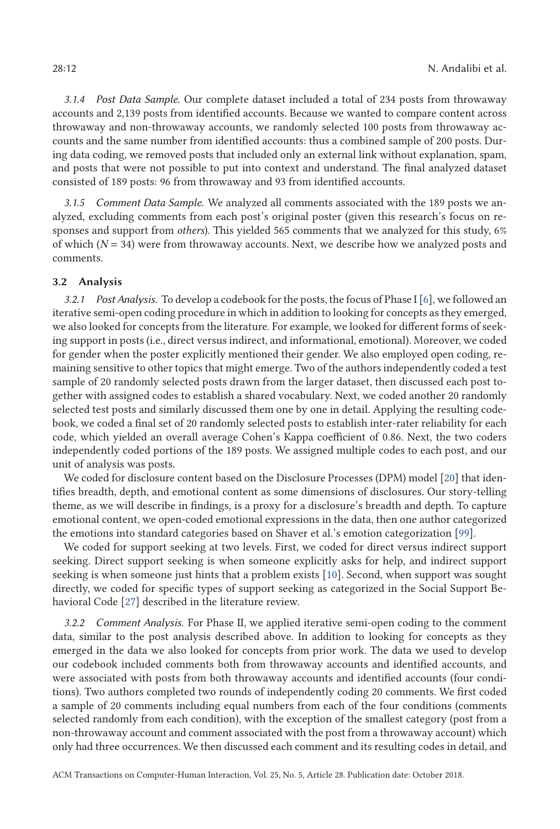*3.1.4 Post Data Sample.* Our complete dataset included a total of 234 posts from throwaway accounts and 2,139 posts from identified accounts. Because we wanted to compare content across throwaway and non-throwaway accounts, we randomly selected 100 posts from throwaway accounts and the same number from identified accounts: thus a combined sample of 200 posts. During data coding, we removed posts that included only an external link without explanation, spam, and posts that were not possible to put into context and understand. The final analyzed dataset consisted of 189 posts: 96 from throwaway and 93 from identified accounts.

*3.1.5 Comment Data Sample.* We analyzed all comments associated with the 189 posts we analyzed, excluding comments from each post's original poster (given this research's focus on responses and support from *others*). This yielded 565 comments that we analyzed for this study, 6% of which (*N* = 34) were from throwaway accounts. Next, we describe how we analyzed posts and comments.

# **3.2 Analysis**

*3.2.1 Post Analysis.* To develop a codebook for the posts, the focus of Phase I [\[6\]](#page-29-0), we followed an iterative semi-open coding procedure in which in addition to looking for concepts as they emerged, we also looked for concepts from the literature. For example, we looked for different forms of seeking support in posts (i.e., direct versus indirect, and informational, emotional). Moreover, we coded for gender when the poster explicitly mentioned their gender. We also employed open coding, remaining sensitive to other topics that might emerge. Two of the authors independently coded a test sample of 20 randomly selected posts drawn from the larger dataset, then discussed each post together with assigned codes to establish a shared vocabulary. Next, we coded another 20 randomly selected test posts and similarly discussed them one by one in detail. Applying the resulting codebook, we coded a final set of 20 randomly selected posts to establish inter-rater reliability for each code, which yielded an overall average Cohen's Kappa coefficient of 0.86. Next, the two coders independently coded portions of the 189 posts. We assigned multiple codes to each post, and our unit of analysis was posts.

We coded for disclosure content based on the Disclosure Processes (DPM) model [\[20\]](#page-30-0) that identifies breadth, depth, and emotional content as some dimensions of disclosures. Our story-telling theme, as we will describe in findings, is a proxy for a disclosure's breadth and depth. To capture emotional content, we open-coded emotional expressions in the data, then one author categorized the emotions into standard categories based on Shaver et al.'s emotion categorization [\[99\]](#page-34-0).

We coded for support seeking at two levels. First, we coded for direct versus indirect support seeking. Direct support seeking is when someone explicitly asks for help, and indirect support seeking is when someone just hints that a problem exists [\[10\]](#page-30-0). Second, when support was sought directly, we coded for specific types of support seeking as categorized in the Social Support Behavioral Code [\[27\]](#page-30-0) described in the literature review.

*3.2.2 Comment Analysis.* For Phase II, we applied iterative semi-open coding to the comment data, similar to the post analysis described above. In addition to looking for concepts as they emerged in the data we also looked for concepts from prior work. The data we used to develop our codebook included comments both from throwaway accounts and identified accounts, and were associated with posts from both throwaway accounts and identified accounts (four conditions). Two authors completed two rounds of independently coding 20 comments. We first coded a sample of 20 comments including equal numbers from each of the four conditions (comments selected randomly from each condition), with the exception of the smallest category (post from a non-throwaway account and comment associated with the post from a throwaway account) which only had three occurrences. We then discussed each comment and its resulting codes in detail, and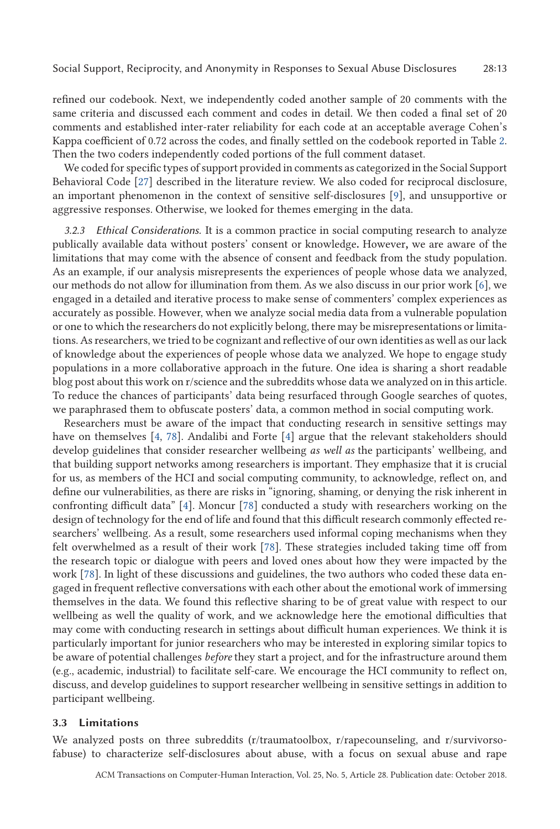refined our codebook. Next, we independently coded another sample of 20 comments with the same criteria and discussed each comment and codes in detail. We then coded a final set of 20 comments and established inter-rater reliability for each code at an acceptable average Cohen's Kappa coefficient of 0.72 across the codes, and finally settled on the codebook reported in Table [2.](#page-17-0) Then the two coders independently coded portions of the full comment dataset.

We coded for specific types of support provided in comments as categorized in the Social Support Behavioral Code [\[27\]](#page-30-0) described in the literature review. We also coded for reciprocal disclosure, an important phenomenon in the context of sensitive self-disclosures [\[9\]](#page-30-0), and unsupportive or aggressive responses. Otherwise, we looked for themes emerging in the data.

*3.2.3 Ethical Considerations.* It is a common practice in social computing research to analyze publically available data without posters' consent or knowledge**.** However**,** we are aware of the limitations that may come with the absence of consent and feedback from the study population. As an example, if our analysis misrepresents the experiences of people whose data we analyzed, our methods do not allow for illumination from them. As we also discuss in our prior work [\[6\]](#page-29-0), we engaged in a detailed and iterative process to make sense of commenters' complex experiences as accurately as possible. However, when we analyze social media data from a vulnerable population or one to which the researchers do not explicitly belong, there may be misrepresentations or limitations. As researchers, we tried to be cognizant and reflective of our own identities as well as our lack of knowledge about the experiences of people whose data we analyzed. We hope to engage study populations in a more collaborative approach in the future. One idea is sharing a short readable blog post about this work on r/science and the subreddits whose data we analyzed on in this article. To reduce the chances of participants' data being resurfaced through Google searches of quotes, we paraphrased them to obfuscate posters' data, a common method in social computing work.

Researchers must be aware of the impact that conducting research in sensitive settings may have on themselves [\[4,](#page-29-0) [78\]](#page-33-0). Andalibi and Forte [\[4\]](#page-29-0) argue that the relevant stakeholders should develop guidelines that consider researcher wellbeing *as well as* the participants' wellbeing, and that building support networks among researchers is important. They emphasize that it is crucial for us, as members of the HCI and social computing community, to acknowledge, reflect on, and define our vulnerabilities, as there are risks in "ignoring, shaming, or denying the risk inherent in confronting difficult data" [\[4\]](#page-29-0). Moncur [\[78\]](#page-33-0) conducted a study with researchers working on the design of technology for the end of life and found that this difficult research commonly effected researchers' wellbeing. As a result, some researchers used informal coping mechanisms when they felt overwhelmed as a result of their work [\[78\]](#page-33-0). These strategies included taking time off from the research topic or dialogue with peers and loved ones about how they were impacted by the work [\[78\]](#page-33-0). In light of these discussions and guidelines, the two authors who coded these data engaged in frequent reflective conversations with each other about the emotional work of immersing themselves in the data. We found this reflective sharing to be of great value with respect to our wellbeing as well the quality of work, and we acknowledge here the emotional difficulties that may come with conducting research in settings about difficult human experiences. We think it is particularly important for junior researchers who may be interested in exploring similar topics to be aware of potential challenges *before* they start a project, and for the infrastructure around them (e.g., academic, industrial) to facilitate self-care. We encourage the HCI community to reflect on, discuss, and develop guidelines to support researcher wellbeing in sensitive settings in addition to participant wellbeing.

#### **3.3 Limitations**

We analyzed posts on three subreddits (r/traumatoolbox, r/rapecounseling, and r/survivorsofabuse) to characterize self-disclosures about abuse, with a focus on sexual abuse and rape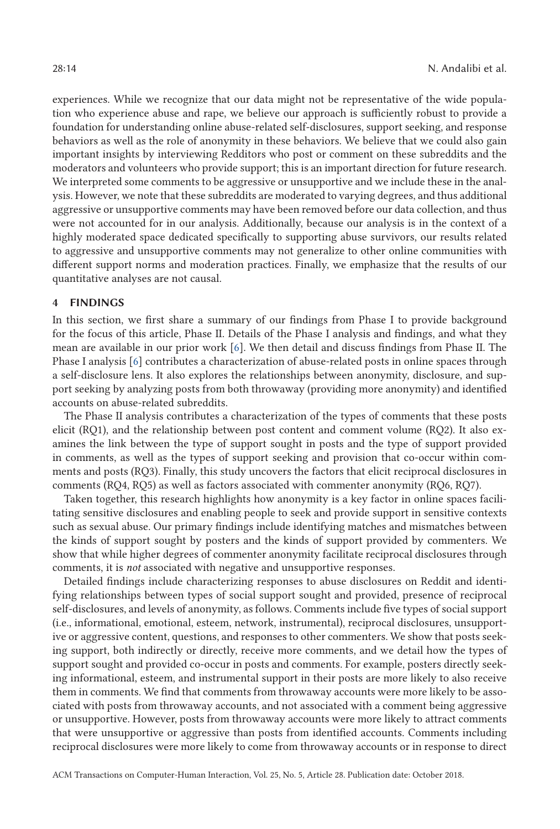experiences. While we recognize that our data might not be representative of the wide population who experience abuse and rape, we believe our approach is sufficiently robust to provide a foundation for understanding online abuse-related self-disclosures, support seeking, and response behaviors as well as the role of anonymity in these behaviors. We believe that we could also gain important insights by interviewing Redditors who post or comment on these subreddits and the moderators and volunteers who provide support; this is an important direction for future research. We interpreted some comments to be aggressive or unsupportive and we include these in the analysis. However, we note that these subreddits are moderated to varying degrees, and thus additional aggressive or unsupportive comments may have been removed before our data collection, and thus were not accounted for in our analysis. Additionally, because our analysis is in the context of a highly moderated space dedicated specifically to supporting abuse survivors, our results related to aggressive and unsupportive comments may not generalize to other online communities with different support norms and moderation practices. Finally, we emphasize that the results of our quantitative analyses are not causal.

# **4 FINDINGS**

In this section, we first share a summary of our findings from Phase I to provide background for the focus of this article, Phase II. Details of the Phase I analysis and findings, and what they mean are available in our prior work [\[6\]](#page-29-0). We then detail and discuss findings from Phase II. The Phase I analysis [\[6\]](#page-29-0) contributes a characterization of abuse-related posts in online spaces through a self-disclosure lens. It also explores the relationships between anonymity, disclosure, and support seeking by analyzing posts from both throwaway (providing more anonymity) and identified accounts on abuse-related subreddits.

The Phase II analysis contributes a characterization of the types of comments that these posts elicit (RQ1), and the relationship between post content and comment volume (RQ2). It also examines the link between the type of support sought in posts and the type of support provided in comments, as well as the types of support seeking and provision that co-occur within comments and posts (RQ3). Finally, this study uncovers the factors that elicit reciprocal disclosures in comments (RQ4, RQ5) as well as factors associated with commenter anonymity (RQ6, RQ7).

Taken together, this research highlights how anonymity is a key factor in online spaces facilitating sensitive disclosures and enabling people to seek and provide support in sensitive contexts such as sexual abuse. Our primary findings include identifying matches and mismatches between the kinds of support sought by posters and the kinds of support provided by commenters. We show that while higher degrees of commenter anonymity facilitate reciprocal disclosures through comments, it is *not* associated with negative and unsupportive responses.

Detailed findings include characterizing responses to abuse disclosures on Reddit and identifying relationships between types of social support sought and provided, presence of reciprocal self-disclosures, and levels of anonymity, as follows. Comments include five types of social support (i.e., informational, emotional, esteem, network, instrumental), reciprocal disclosures, unsupportive or aggressive content, questions, and responses to other commenters. We show that posts seeking support, both indirectly or directly, receive more comments, and we detail how the types of support sought and provided co-occur in posts and comments. For example, posters directly seeking informational, esteem, and instrumental support in their posts are more likely to also receive them in comments. We find that comments from throwaway accounts were more likely to be associated with posts from throwaway accounts, and not associated with a comment being aggressive or unsupportive. However, posts from throwaway accounts were more likely to attract comments that were unsupportive or aggressive than posts from identified accounts. Comments including reciprocal disclosures were more likely to come from throwaway accounts or in response to direct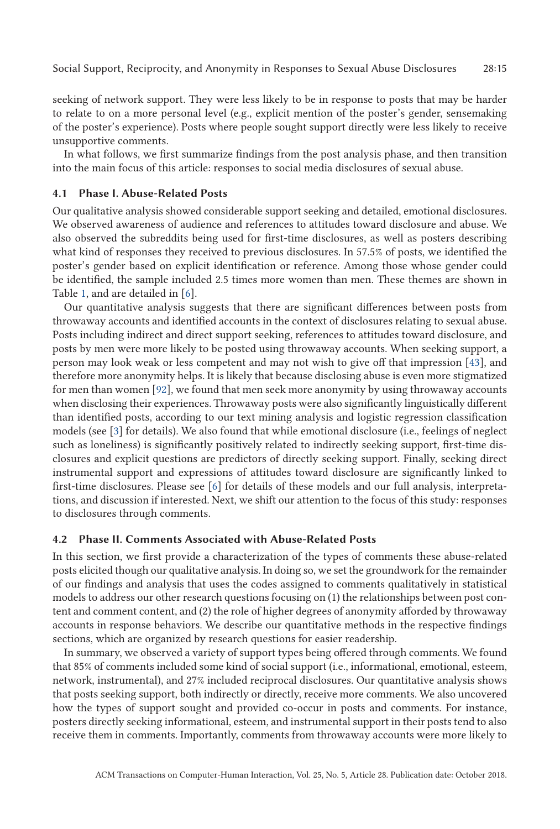seeking of network support. They were less likely to be in response to posts that may be harder to relate to on a more personal level (e.g., explicit mention of the poster's gender, sensemaking of the poster's experience). Posts where people sought support directly were less likely to receive unsupportive comments.

In what follows, we first summarize findings from the post analysis phase, and then transition into the main focus of this article: responses to social media disclosures of sexual abuse.

### **4.1 Phase I. Abuse-Related Posts**

Our qualitative analysis showed considerable support seeking and detailed, emotional disclosures. We observed awareness of audience and references to attitudes toward disclosure and abuse. We also observed the subreddits being used for first-time disclosures, as well as posters describing what kind of responses they received to previous disclosures. In 57.5% of posts, we identified the poster's gender based on explicit identification or reference. Among those whose gender could be identified, the sample included 2.5 times more women than men. These themes are shown in Table [1,](#page-15-0) and are detailed in [\[6\]](#page-29-0).

Our quantitative analysis suggests that there are significant differences between posts from throwaway accounts and identified accounts in the context of disclosures relating to sexual abuse. Posts including indirect and direct support seeking, references to attitudes toward disclosure, and posts by men were more likely to be posted using throwaway accounts. When seeking support, a person may look weak or less competent and may not wish to give off that impression [\[43\]](#page-31-0), and therefore more anonymity helps. It is likely that because disclosing abuse is even more stigmatized for men than women [\[92\]](#page-33-0), we found that men seek more anonymity by using throwaway accounts when disclosing their experiences. Throwaway posts were also significantly linguistically different than identified posts, according to our text mining analysis and logistic regression classification models (see [\[3\]](#page-29-0) for details). We also found that while emotional disclosure (i.e., feelings of neglect such as loneliness) is significantly positively related to indirectly seeking support, first-time disclosures and explicit questions are predictors of directly seeking support. Finally, seeking direct instrumental support and expressions of attitudes toward disclosure are significantly linked to first-time disclosures. Please see [\[6\]](#page-29-0) for details of these models and our full analysis, interpretations, and discussion if interested. Next, we shift our attention to the focus of this study: responses to disclosures through comments.

#### **4.2 Phase II. Comments Associated with Abuse-Related Posts**

In this section, we first provide a characterization of the types of comments these abuse-related posts elicited though our qualitative analysis. In doing so, we set the groundwork for the remainder of our findings and analysis that uses the codes assigned to comments qualitatively in statistical models to address our other research questions focusing on (1) the relationships between post content and comment content, and (2) the role of higher degrees of anonymity afforded by throwaway accounts in response behaviors. We describe our quantitative methods in the respective findings sections, which are organized by research questions for easier readership.

In summary, we observed a variety of support types being offered through comments. We found that 85% of comments included some kind of social support (i.e., informational, emotional, esteem, network, instrumental), and 27% included reciprocal disclosures. Our quantitative analysis shows that posts seeking support, both indirectly or directly, receive more comments. We also uncovered how the types of support sought and provided co-occur in posts and comments. For instance, posters directly seeking informational, esteem, and instrumental support in their posts tend to also receive them in comments. Importantly, comments from throwaway accounts were more likely to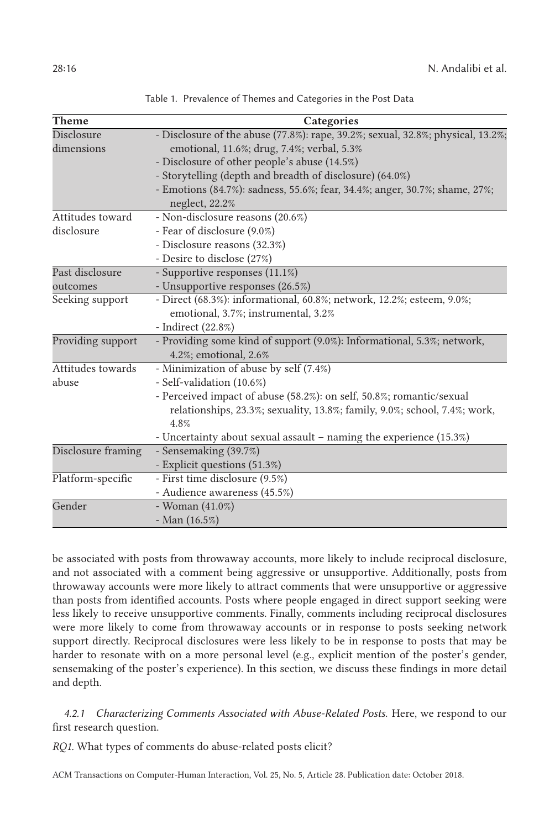<span id="page-15-0"></span>

| Theme              | Categories                                                                      |
|--------------------|---------------------------------------------------------------------------------|
| Disclosure         | - Disclosure of the abuse (77.8%): rape, 39.2%; sexual, 32.8%; physical, 13.2%; |
| dimensions         | emotional, 11.6%; drug, 7.4%; verbal, 5.3%                                      |
|                    | - Disclosure of other people's abuse (14.5%)                                    |
|                    | - Storytelling (depth and breadth of disclosure) (64.0%)                        |
|                    | - Emotions (84.7%): sadness, 55.6%; fear, 34.4%; anger, 30.7%; shame, 27%;      |
|                    | neglect, 22.2%                                                                  |
| Attitudes toward   | - Non-disclosure reasons (20.6%)                                                |
| disclosure         | - Fear of disclosure (9.0%)                                                     |
|                    | - Disclosure reasons (32.3%)                                                    |
|                    | - Desire to disclose (27%)                                                      |
| Past disclosure    | - Supportive responses (11.1%)                                                  |
| outcomes           | - Unsupportive responses (26.5%)                                                |
| Seeking support    | - Direct (68.3%): informational, 60.8%; network, 12.2%; esteem, 9.0%;           |
|                    | emotional, 3.7%; instrumental, 3.2%                                             |
|                    | - Indirect (22.8%)                                                              |
| Providing support  | - Providing some kind of support (9.0%): Informational, 5.3%; network,          |
|                    | 4.2%; emotional, 2.6%                                                           |
| Attitudes towards  | - Minimization of abuse by self (7.4%)                                          |
| abuse              | - Self-validation (10.6%)                                                       |
|                    | - Perceived impact of abuse (58.2%): on self, 50.8%; romantic/sexual            |
|                    | relationships, 23.3%; sexuality, 13.8%; family, 9.0%; school, 7.4%; work,       |
|                    | 4.8%                                                                            |
|                    | - Uncertainty about sexual assault – naming the experience (15.3%)              |
| Disclosure framing | - Sensemaking (39.7%)                                                           |
|                    | - Explicit questions (51.3%)                                                    |
| Platform-specific  | - First time disclosure (9.5%)                                                  |
|                    | - Audience awareness (45.5%)                                                    |
| Gender             | - Woman (41.0%)                                                                 |
|                    | - Man $(16.5\%)$                                                                |

Table 1. Prevalence of Themes and Categories in the Post Data

be associated with posts from throwaway accounts, more likely to include reciprocal disclosure, and not associated with a comment being aggressive or unsupportive. Additionally, posts from throwaway accounts were more likely to attract comments that were unsupportive or aggressive than posts from identified accounts. Posts where people engaged in direct support seeking were less likely to receive unsupportive comments. Finally, comments including reciprocal disclosures were more likely to come from throwaway accounts or in response to posts seeking network support directly. Reciprocal disclosures were less likely to be in response to posts that may be harder to resonate with on a more personal level (e.g., explicit mention of the poster's gender, sensemaking of the poster's experience). In this section, we discuss these findings in more detail and depth.

*4.2.1 Characterizing Comments Associated with Abuse-Related Posts.* Here, we respond to our first research question.

*RQ1.* What types of comments do abuse-related posts elicit?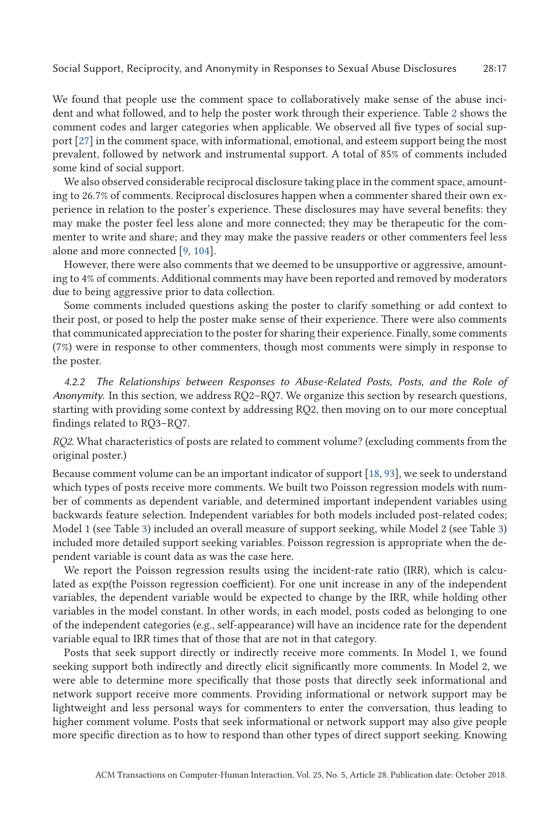We found that people use the comment space to collaboratively make sense of the abuse incident and what followed, and to help the poster work through their experience. Table [2](#page-17-0) shows the comment codes and larger categories when applicable. We observed all five types of social support [\[27\]](#page-30-0) in the comment space, with informational, emotional, and esteem support being the most prevalent, followed by network and instrumental support. A total of 85% of comments included some kind of social support.

We also observed considerable reciprocal disclosure taking place in the comment space, amounting to 26.7% of comments. Reciprocal disclosures happen when a commenter shared their own experience in relation to the poster's experience. These disclosures may have several benefits: they may make the poster feel less alone and more connected; they may be therapeutic for the commenter to write and share; and they may make the passive readers or other commenters feel less alone and more connected [\[9,](#page-30-0) [104\]](#page-34-0).

However, there were also comments that we deemed to be unsupportive or aggressive, amounting to 4% of comments. Additional comments may have been reported and removed by moderators due to being aggressive prior to data collection.

Some comments included questions asking the poster to clarify something or add context to their post, or posed to help the poster make sense of their experience. There were also comments that communicated appreciation to the poster for sharing their experience. Finally, some comments (7%) were in response to other commenters, though most comments were simply in response to the poster.

*4.2.2 The Relationships between Responses to Abuse-Related Posts, Posts, and the Role of Anonymity.* In this section, we address RQ2–RQ7. We organize this section by research questions, starting with providing some context by addressing RQ2, then moving on to our more conceptual findings related to RQ3–RQ7.

*RQ2.* What characteristics of posts are related to comment volume? (excluding comments from the original poster.)

Because comment volume can be an important indicator of support [\[18,](#page-30-0) [93\]](#page-33-0), we seek to understand which types of posts receive more comments. We built two Poisson regression models with number of comments as dependent variable, and determined important independent variables using backwards feature selection. Independent variables for both models included post-related codes; Model 1 (see Table [3\)](#page-18-0) included an overall measure of support seeking, while Model 2 (see Table [3\)](#page-18-0) included more detailed support seeking variables. Poisson regression is appropriate when the dependent variable is count data as was the case here.

We report the Poisson regression results using the incident-rate ratio (IRR), which is calculated as exp(the Poisson regression coefficient). For one unit increase in any of the independent variables, the dependent variable would be expected to change by the IRR, while holding other variables in the model constant. In other words, in each model, posts coded as belonging to one of the independent categories (e.g., self-appearance) will have an incidence rate for the dependent variable equal to IRR times that of those that are not in that category.

Posts that seek support directly or indirectly receive more comments. In Model 1, we found seeking support both indirectly and directly elicit significantly more comments. In Model 2, we were able to determine more specifically that those posts that directly seek informational and network support receive more comments. Providing informational or network support may be lightweight and less personal ways for commenters to enter the conversation, thus leading to higher comment volume. Posts that seek informational or network support may also give people more specific direction as to how to respond than other types of direct support seeking. Knowing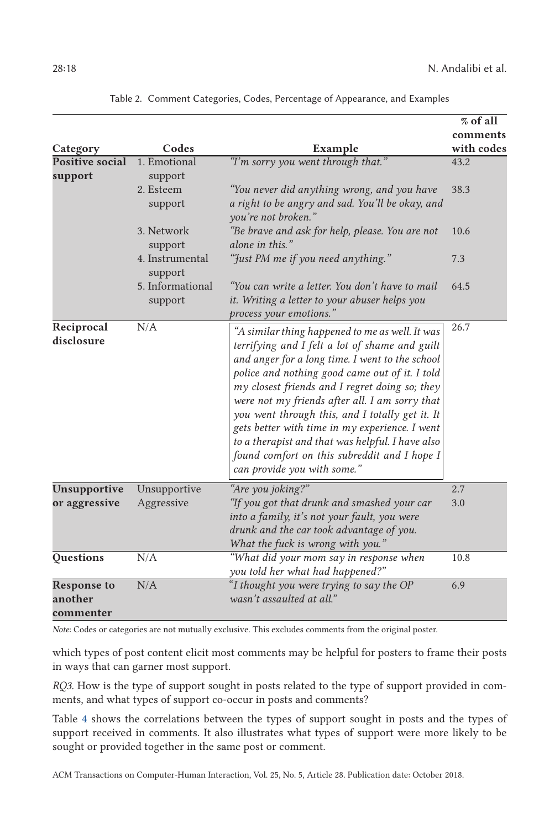<span id="page-17-0"></span>

|                                            |                             |                                                                                                                                                                                                                                                                                                                                                                                                                                                                                                                                                    | % of all           |
|--------------------------------------------|-----------------------------|----------------------------------------------------------------------------------------------------------------------------------------------------------------------------------------------------------------------------------------------------------------------------------------------------------------------------------------------------------------------------------------------------------------------------------------------------------------------------------------------------------------------------------------------------|--------------------|
|                                            | Codes                       |                                                                                                                                                                                                                                                                                                                                                                                                                                                                                                                                                    | comments           |
| Category<br><b>Positive social</b>         | 1. Emotional                | Example<br>"I'm sorry you went through that."                                                                                                                                                                                                                                                                                                                                                                                                                                                                                                      | with codes<br>43.2 |
| support                                    | support                     |                                                                                                                                                                                                                                                                                                                                                                                                                                                                                                                                                    |                    |
|                                            | 2. Esteem<br>support        | "You never did anything wrong, and you have<br>a right to be angry and sad. You'll be okay, and<br>you're not broken."                                                                                                                                                                                                                                                                                                                                                                                                                             | 38.3               |
|                                            | 3. Network<br>support       | "Be brave and ask for help, please. You are not<br>alone in this."                                                                                                                                                                                                                                                                                                                                                                                                                                                                                 | 10.6               |
|                                            | 4. Instrumental<br>support  | "Just PM me if you need anything."                                                                                                                                                                                                                                                                                                                                                                                                                                                                                                                 | 7.3                |
|                                            | 5. Informational<br>support | "You can write a letter. You don't have to mail<br>it. Writing a letter to your abuser helps you<br>process your emotions."                                                                                                                                                                                                                                                                                                                                                                                                                        | 64.5               |
| Reciprocal<br>disclosure                   | N/A                         | "A similar thing happened to me as well. It was<br>terrifying and I felt a lot of shame and guilt<br>and anger for a long time. I went to the school<br>police and nothing good came out of it. I told<br>my closest friends and I regret doing so; they<br>were not my friends after all. I am sorry that<br>you went through this, and I totally get it. It<br>gets better with time in my experience. I went<br>to a therapist and that was helpful. I have also<br>found comfort on this subreddit and I hope I<br>can provide you with some." | 26.7               |
| Unsupportive                               | Unsupportive                | "Are you joking?"                                                                                                                                                                                                                                                                                                                                                                                                                                                                                                                                  | 2.7                |
| or aggressive                              | Aggressive                  | "If you got that drunk and smashed your car<br>into a family, it's not your fault, you were<br>drunk and the car took advantage of you.<br>What the fuck is wrong with you."                                                                                                                                                                                                                                                                                                                                                                       | 3.0                |
| Questions                                  | N/A                         | "What did your mom say in response when<br>you told her what had happened?"                                                                                                                                                                                                                                                                                                                                                                                                                                                                        | 10.8               |
| <b>Response to</b><br>another<br>commenter | N/A                         | "I thought you were trying to say the OP<br>wasn't assaulted at all."                                                                                                                                                                                                                                                                                                                                                                                                                                                                              | 6.9                |

Table 2. Comment Categories, Codes, Percentage of Appearance, and Examples

*Note*: Codes or categories are not mutually exclusive. This excludes comments from the original poster.

which types of post content elicit most comments may be helpful for posters to frame their posts in ways that can garner most support.

*RQ3.* How is the type of support sought in posts related to the type of support provided in comments, and what types of support co-occur in posts and comments?

Table [4](#page-19-0) shows the correlations between the types of support sought in posts and the types of support received in comments. It also illustrates what types of support were more likely to be sought or provided together in the same post or comment.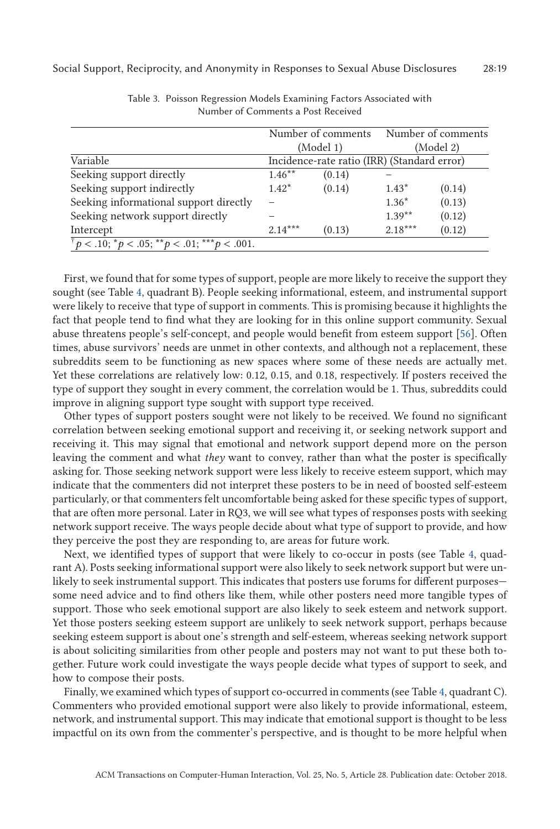<span id="page-18-0"></span>

|                                                                                                    |           | Number of comments                          | Number of comments |           |  |  |
|----------------------------------------------------------------------------------------------------|-----------|---------------------------------------------|--------------------|-----------|--|--|
|                                                                                                    |           | (Model 1)                                   |                    | (Model 2) |  |  |
| Variable                                                                                           |           | Incidence-rate ratio (IRR) (Standard error) |                    |           |  |  |
| Seeking support directly                                                                           | $1.46***$ | (0.14)                                      |                    |           |  |  |
| Seeking support indirectly                                                                         | $1.42*$   | (0.14)                                      | $1.43*$            | (0.14)    |  |  |
| Seeking informational support directly                                                             | -         |                                             | $1.36*$            | (0.13)    |  |  |
| Seeking network support directly                                                                   |           |                                             | $1.39**$           | (0.12)    |  |  |
| Intercept                                                                                          | $2.14***$ | (0.13)                                      | $2.18***$          | (0.12)    |  |  |
| $\phi^{\dagger} p < .10; \phi^{\dagger} p < .05; \phi^{\dagger} p < .01; \phi^{\dagger} p < .001.$ |           |                                             |                    |           |  |  |

Table 3. Poisson Regression Models Examining Factors Associated with Number of Comments a Post Received

First, we found that for some types of support, people are more likely to receive the support they sought (see Table [4,](#page-19-0) quadrant B). People seeking informational, esteem, and instrumental support were likely to receive that type of support in comments. This is promising because it highlights the fact that people tend to find what they are looking for in this online support community. Sexual abuse threatens people's self-concept, and people would benefit from esteem support [\[56\]](#page-32-0). Often times, abuse survivors' needs are unmet in other contexts, and although not a replacement, these subreddits seem to be functioning as new spaces where some of these needs are actually met. Yet these correlations are relatively low: 0.12, 0.15, and 0.18, respectively. If posters received the type of support they sought in every comment, the correlation would be 1. Thus, subreddits could improve in aligning support type sought with support type received.

Other types of support posters sought were not likely to be received. We found no significant correlation between seeking emotional support and receiving it, or seeking network support and receiving it. This may signal that emotional and network support depend more on the person leaving the comment and what *they* want to convey, rather than what the poster is specifically asking for. Those seeking network support were less likely to receive esteem support, which may indicate that the commenters did not interpret these posters to be in need of boosted self-esteem particularly, or that commenters felt uncomfortable being asked for these specific types of support, that are often more personal. Later in RQ3, we will see what types of responses posts with seeking network support receive. The ways people decide about what type of support to provide, and how they perceive the post they are responding to, are areas for future work.

Next, we identified types of support that were likely to co-occur in posts (see Table [4,](#page-19-0) quadrant A). Posts seeking informational support were also likely to seek network support but were unlikely to seek instrumental support. This indicates that posters use forums for different purposes some need advice and to find others like them, while other posters need more tangible types of support. Those who seek emotional support are also likely to seek esteem and network support. Yet those posters seeking esteem support are unlikely to seek network support, perhaps because seeking esteem support is about one's strength and self-esteem, whereas seeking network support is about soliciting similarities from other people and posters may not want to put these both together. Future work could investigate the ways people decide what types of support to seek, and how to compose their posts.

Finally, we examined which types of support co-occurred in comments (see Table [4,](#page-19-0) quadrant C). Commenters who provided emotional support were also likely to provide informational, esteem, network, and instrumental support. This may indicate that emotional support is thought to be less impactful on its own from the commenter's perspective, and is thought to be more helpful when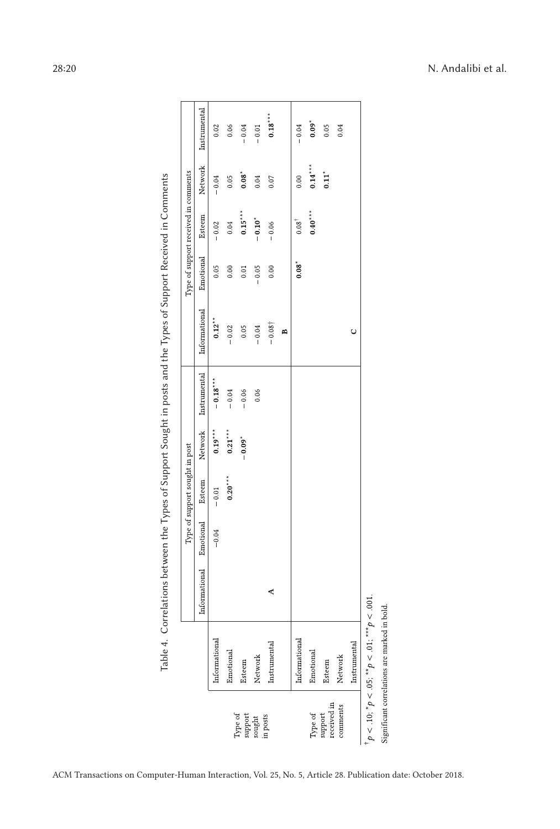<span id="page-19-0"></span>

|                                                                                                                                                      |                                                                                  |               |           | Type of support sought in post |           |              |               | Type of support received in comments |                |            |              |
|------------------------------------------------------------------------------------------------------------------------------------------------------|----------------------------------------------------------------------------------|---------------|-----------|--------------------------------|-----------|--------------|---------------|--------------------------------------|----------------|------------|--------------|
|                                                                                                                                                      |                                                                                  | Informational | Emotional | Esteem                         | Network   | Instrumental | Informational | Emotional                            | Esteem         | Network    | Instrumental |
|                                                                                                                                                      | Informational                                                                    |               | $-0.04$   | $-0.01$                        | $0.19***$ | $-0.18***$   | $0.12***$     | 0.05                                 | $-0.02$        | $-0.04$    | 0.02         |
|                                                                                                                                                      | Emotional                                                                        |               |           | $0.20***$                      | $0.21***$ | $-0.04$      | $-0.02$       | 0.00                                 | 0.04           | 0.05       | 0.06         |
| $\begin{array}{l} \mathrm{Type} \ \mathrm{of} \\ \mathrm{support} \\ \mathrm{support} \\ \mathrm{sought} \\ \mathrm{in} \ \mathrm{post} \end{array}$ | Esteem                                                                           |               |           |                                | $-0.09*$  | $-0.06$      | 0.05          | 0.01                                 | $0.15***$      | $0.08*$    | $-0.04$      |
|                                                                                                                                                      | Network                                                                          |               |           |                                |           | 0.06         | $-0.04$       | $-0.05$                              | $-0.10*$       | 0.04       | $-0.01$      |
|                                                                                                                                                      | Instrumental                                                                     | ⋖             |           |                                |           |              | $-0.08 +$     | 0.00                                 | $-0.06$        | 0.07       | $0.18***$    |
|                                                                                                                                                      |                                                                                  |               |           |                                |           |              | m             |                                      |                |            |              |
|                                                                                                                                                      | Informational                                                                    |               |           |                                |           |              |               | $0.08*$                              | $0.08^\dagger$ | 0.00       | $-0.04$      |
| Type of<br>support                                                                                                                                   | Emotional                                                                        |               |           |                                |           |              |               |                                      | $0.40***$      | $0.14***$  | $0.09*$      |
| received in                                                                                                                                          | Esteem                                                                           |               |           |                                |           |              |               |                                      |                | $0.11^{*}$ | 0.05         |
| comments                                                                                                                                             | Network                                                                          |               |           |                                |           |              |               |                                      |                |            | 0.04         |
|                                                                                                                                                      | Instrumental                                                                     |               |           |                                |           |              | $\circ$       |                                      |                |            |              |
|                                                                                                                                                      | $\bar{p}$ $p$ < .10; $\bar{p}$ < .05; $\bar{p}$ + 0 < .01; $\bar{p}$ + 0 < .001. |               |           |                                |           |              |               |                                      |                |            |              |

Table 4. Correlations between the Types of Support Sought in posts and the Types of Support Received in Comments Table 4. Correlations between the Types of Support Sought in posts and the Types of Support Received in Comments

ACM Transactions on Computer-Human Interaction, Vol. 25, No. 5, Article 28. Publication date: October 2018.

Significant correlations are marked in bold.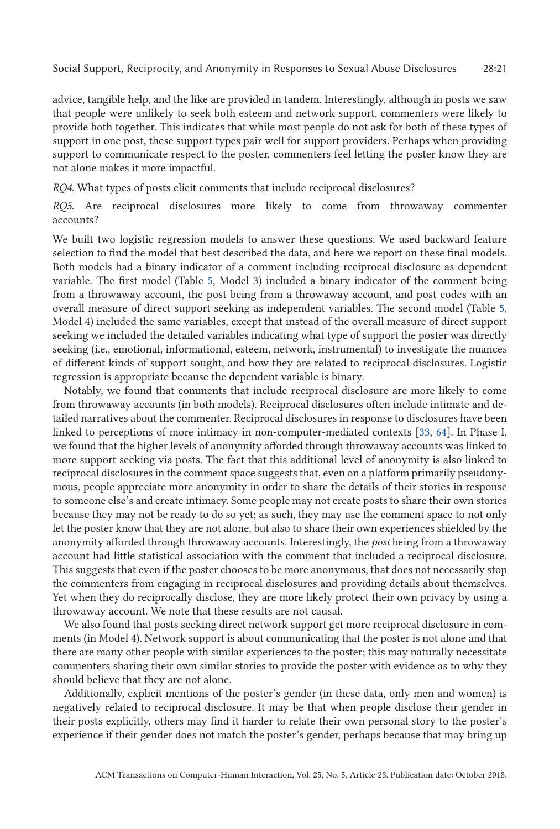advice, tangible help, and the like are provided in tandem. Interestingly, although in posts we saw that people were unlikely to seek both esteem and network support, commenters were likely to provide both together. This indicates that while most people do not ask for both of these types of support in one post, these support types pair well for support providers. Perhaps when providing support to communicate respect to the poster, commenters feel letting the poster know they are not alone makes it more impactful.

*RQ4.* What types of posts elicit comments that include reciprocal disclosures?

*RQ5.* Are reciprocal disclosures more likely to come from throwaway commenter accounts?

We built two logistic regression models to answer these questions. We used backward feature selection to find the model that best described the data, and here we report on these final models. Both models had a binary indicator of a comment including reciprocal disclosure as dependent variable. The first model (Table [5,](#page-21-0) Model 3) included a binary indicator of the comment being from a throwaway account, the post being from a throwaway account, and post codes with an overall measure of direct support seeking as independent variables. The second model (Table [5,](#page-21-0) Model 4) included the same variables, except that instead of the overall measure of direct support seeking we included the detailed variables indicating what type of support the poster was directly seeking (i.e., emotional, informational, esteem, network, instrumental) to investigate the nuances of different kinds of support sought, and how they are related to reciprocal disclosures. Logistic regression is appropriate because the dependent variable is binary.

Notably, we found that comments that include reciprocal disclosure are more likely to come from throwaway accounts (in both models). Reciprocal disclosures often include intimate and detailed narratives about the commenter. Reciprocal disclosures in response to disclosures have been linked to perceptions of more intimacy in non-computer-mediated contexts [\[33,](#page-31-0) [64\]](#page-32-0). In Phase I, we found that the higher levels of anonymity afforded through throwaway accounts was linked to more support seeking via posts. The fact that this additional level of anonymity is also linked to reciprocal disclosures in the comment space suggests that, even on a platform primarily pseudonymous, people appreciate more anonymity in order to share the details of their stories in response to someone else's and create intimacy. Some people may not create posts to share their own stories because they may not be ready to do so yet; as such, they may use the comment space to not only let the poster know that they are not alone, but also to share their own experiences shielded by the anonymity afforded through throwaway accounts. Interestingly, the *post* being from a throwaway account had little statistical association with the comment that included a reciprocal disclosure. This suggests that even if the poster chooses to be more anonymous, that does not necessarily stop the commenters from engaging in reciprocal disclosures and providing details about themselves. Yet when they do reciprocally disclose, they are more likely protect their own privacy by using a throwaway account. We note that these results are not causal.

We also found that posts seeking direct network support get more reciprocal disclosure in comments (in Model 4). Network support is about communicating that the poster is not alone and that there are many other people with similar experiences to the poster; this may naturally necessitate commenters sharing their own similar stories to provide the poster with evidence as to why they should believe that they are not alone.

Additionally, explicit mentions of the poster's gender (in these data, only men and women) is negatively related to reciprocal disclosure. It may be that when people disclose their gender in their posts explicitly, others may find it harder to relate their own personal story to the poster's experience if their gender does not match the poster's gender, perhaps because that may bring up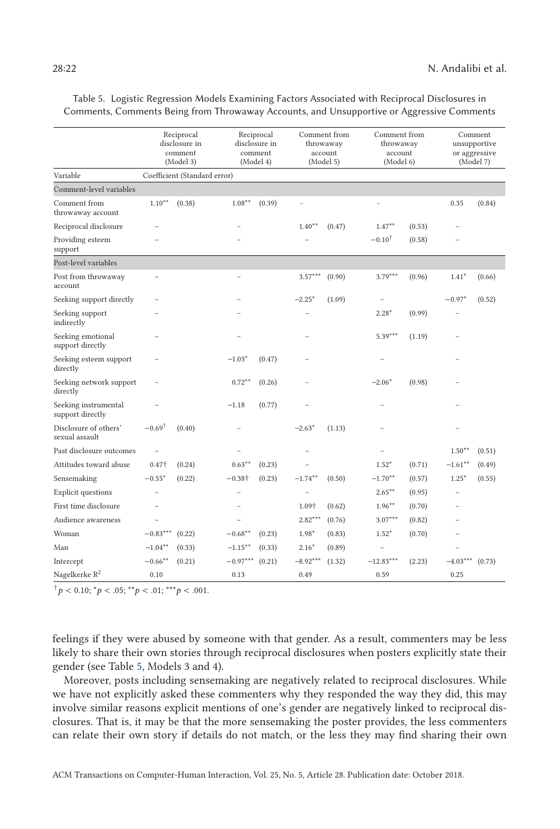|                                          |                      | Reciprocal<br>disclosure in<br>comment<br>(Model 3) |                          | Reciprocal<br>disclosure in<br>comment<br>(Model 4) |                | Comment from<br>throwaway<br>account<br>(Model 5) | Comment from<br>throwaway<br>account<br>(Model 6) |        | Comment<br>unsupportive<br>(Model 7) | or aggressive |
|------------------------------------------|----------------------|-----------------------------------------------------|--------------------------|-----------------------------------------------------|----------------|---------------------------------------------------|---------------------------------------------------|--------|--------------------------------------|---------------|
| Variable                                 |                      | Coefficient (Standard error)                        |                          |                                                     |                |                                                   |                                                   |        |                                      |               |
| Comment-level variables                  |                      |                                                     |                          |                                                     |                |                                                   |                                                   |        |                                      |               |
| Comment from<br>throwaway account        | $1.10**$             | (0.38)                                              | $1.08***$                | (0.39)                                              |                |                                                   | $\overline{a}$                                    |        | 0.35                                 | (0.84)        |
| Reciprocal disclosure                    |                      |                                                     |                          |                                                     | $1.40**$       | (0.47)                                            | $1.47**$                                          | (0.53) |                                      |               |
| Providing esteem<br>support              |                      |                                                     |                          |                                                     |                |                                                   | $-0.10^{\dagger}$                                 | (0.58) |                                      |               |
| Post-level variables                     |                      |                                                     |                          |                                                     |                |                                                   |                                                   |        |                                      |               |
| Post from throwaway<br>account           |                      |                                                     |                          |                                                     | $3.57***$      | (0.90)                                            | $3.79***$                                         | (0.96) | $1.41*$                              | (0.66)        |
| Seeking support directly                 |                      |                                                     |                          |                                                     | $-2.25*$       | (1.09)                                            |                                                   |        | $-0.97*$                             | (0.52)        |
| Seeking support<br>indirectly            |                      |                                                     |                          |                                                     |                |                                                   | $2.28*$                                           | (0.99) |                                      |               |
| Seeking emotional<br>support directly    |                      |                                                     |                          |                                                     |                |                                                   | $5.39***$                                         | (1.19) |                                      |               |
| Seeking esteem support<br>directly       |                      |                                                     | $-1.03*$                 | (0.47)                                              |                |                                                   | ۰                                                 |        |                                      |               |
| Seeking network support<br>directly      |                      |                                                     | $0.72***$                | (0.26)                                              |                |                                                   | $-2.06*$                                          | (0.98) |                                      |               |
| Seeking instrumental<br>support directly |                      |                                                     | $-1.18$                  | (0.77)                                              |                |                                                   |                                                   |        |                                      |               |
| Disclosure of others'<br>sexual assault  | $-0.69$ <sup>T</sup> | (0.40)                                              |                          |                                                     | $-2.63*$       | (1.13)                                            |                                                   |        |                                      |               |
| Past disclosure outcomes                 | L.                   |                                                     |                          |                                                     |                |                                                   | $\overline{\phantom{a}}$                          |        | $1.50**$                             | (0.51)        |
| Attitudes toward abuse                   | $0.47\dagger$        | (0.24)                                              | $0.63**$                 | (0.23)                                              | $\overline{a}$ |                                                   | $1.52*$                                           | (0.71) | $-1.61**$                            | (0.49)        |
| Sensemaking                              | $-0.55*$             | (0.22)                                              | $-0.38\dagger$           | (0.23)                                              | $-1.74***$     | (0.50)                                            | $-1.70**$                                         | (0.57) | $1.25*$                              | (0.55)        |
| <b>Explicit questions</b>                | $\overline{a}$       |                                                     | ٠                        |                                                     | ÷              |                                                   | $2.65***$                                         | (0.95) | ۳                                    |               |
| First time disclosure                    | ۰                    |                                                     | $\overline{\phantom{a}}$ |                                                     | 1.09+          | (0.62)                                            | $1.96**$                                          | (0.70) |                                      |               |
| Audience awareness                       |                      |                                                     |                          |                                                     | $2.82***$      | (0.76)                                            | $3.07***$                                         | (0.82) |                                      |               |
| Woman                                    | $-0.83***$           | (0.22)                                              | $-0.68**$                | (0.23)                                              | $1.98*$        | (0.83)                                            | $1.52*$                                           | (0.70) |                                      |               |
| Man                                      | $-1.04**$            | (0.33)                                              | $-1.15***$               | (0.33)                                              | $2.16*$        | (0.89)                                            |                                                   |        |                                      |               |
| Intercept                                | $-0.66**$            | (0.21)                                              | $-0.97***$               | (0.21)                                              | $-8.92***$     | (1.32)                                            | $-12.83***$                                       | (2.23) | $-4.03***$                           | (0.73)        |
| Nagelkerke $R^2$                         | 0.10                 |                                                     | 0.13                     |                                                     | 0.49           |                                                   | 0.59                                              |        | 0.25                                 |               |

<span id="page-21-0"></span>Table 5. Logistic Regression Models Examining Factors Associated with Reciprocal Disclosures in Comments, Comments Being from Throwaway Accounts, and Unsupportive or Aggressive Comments

 $\uparrow p < 0.10$ ;  $\uparrow p < .05$ ;  $\uparrow \uparrow p < .01$ ;  $\uparrow \uparrow \uparrow p < .001$ .

feelings if they were abused by someone with that gender. As a result, commenters may be less likely to share their own stories through reciprocal disclosures when posters explicitly state their gender (see Table 5, Models 3 and 4).

Moreover, posts including sensemaking are negatively related to reciprocal disclosures. While we have not explicitly asked these commenters why they responded the way they did, this may involve similar reasons explicit mentions of one's gender are negatively linked to reciprocal disclosures. That is, it may be that the more sensemaking the poster provides, the less commenters can relate their own story if details do not match, or the less they may find sharing their own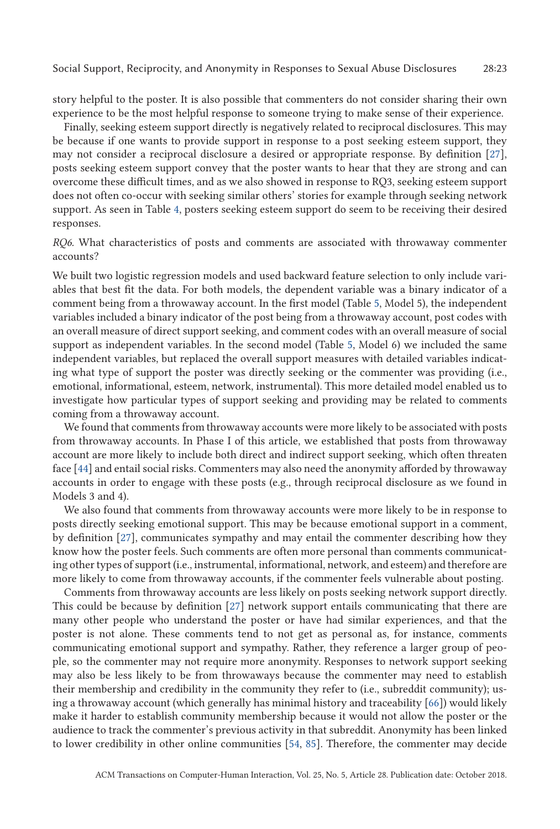story helpful to the poster. It is also possible that commenters do not consider sharing their own experience to be the most helpful response to someone trying to make sense of their experience.

Finally, seeking esteem support directly is negatively related to reciprocal disclosures. This may be because if one wants to provide support in response to a post seeking esteem support, they may not consider a reciprocal disclosure a desired or appropriate response. By definition [\[27\]](#page-30-0), posts seeking esteem support convey that the poster wants to hear that they are strong and can overcome these difficult times, and as we also showed in response to RQ3, seeking esteem support does not often co-occur with seeking similar others' stories for example through seeking network support. As seen in Table [4,](#page-19-0) posters seeking esteem support do seem to be receiving their desired responses.

*RQ6.* What characteristics of posts and comments are associated with throwaway commenter accounts?

We built two logistic regression models and used backward feature selection to only include variables that best fit the data. For both models, the dependent variable was a binary indicator of a comment being from a throwaway account. In the first model (Table [5,](#page-21-0) Model 5), the independent variables included a binary indicator of the post being from a throwaway account, post codes with an overall measure of direct support seeking, and comment codes with an overall measure of social support as independent variables. In the second model (Table [5,](#page-21-0) Model 6) we included the same independent variables, but replaced the overall support measures with detailed variables indicating what type of support the poster was directly seeking or the commenter was providing (i.e., emotional, informational, esteem, network, instrumental). This more detailed model enabled us to investigate how particular types of support seeking and providing may be related to comments coming from a throwaway account.

We found that comments from throwaway accounts were more likely to be associated with posts from throwaway accounts. In Phase I of this article, we established that posts from throwaway account are more likely to include both direct and indirect support seeking, which often threaten face [\[44\]](#page-31-0) and entail social risks. Commenters may also need the anonymity afforded by throwaway accounts in order to engage with these posts (e.g., through reciprocal disclosure as we found in Models 3 and 4).

We also found that comments from throwaway accounts were more likely to be in response to posts directly seeking emotional support. This may be because emotional support in a comment, by definition [\[27\]](#page-30-0), communicates sympathy and may entail the commenter describing how they know how the poster feels. Such comments are often more personal than comments communicating other types of support (i.e., instrumental, informational, network, and esteem) and therefore are more likely to come from throwaway accounts, if the commenter feels vulnerable about posting.

Comments from throwaway accounts are less likely on posts seeking network support directly. This could be because by definition [\[27\]](#page-30-0) network support entails communicating that there are many other people who understand the poster or have had similar experiences, and that the poster is not alone. These comments tend to not get as personal as, for instance, comments communicating emotional support and sympathy. Rather, they reference a larger group of people, so the commenter may not require more anonymity. Responses to network support seeking may also be less likely to be from throwaways because the commenter may need to establish their membership and credibility in the community they refer to (i.e., subreddit community); using a throwaway account (which generally has minimal history and traceability [\[66\]](#page-32-0)) would likely make it harder to establish community membership because it would not allow the poster or the audience to track the commenter's previous activity in that subreddit. Anonymity has been linked to lower credibility in other online communities [\[54,](#page-32-0) [85\]](#page-33-0). Therefore, the commenter may decide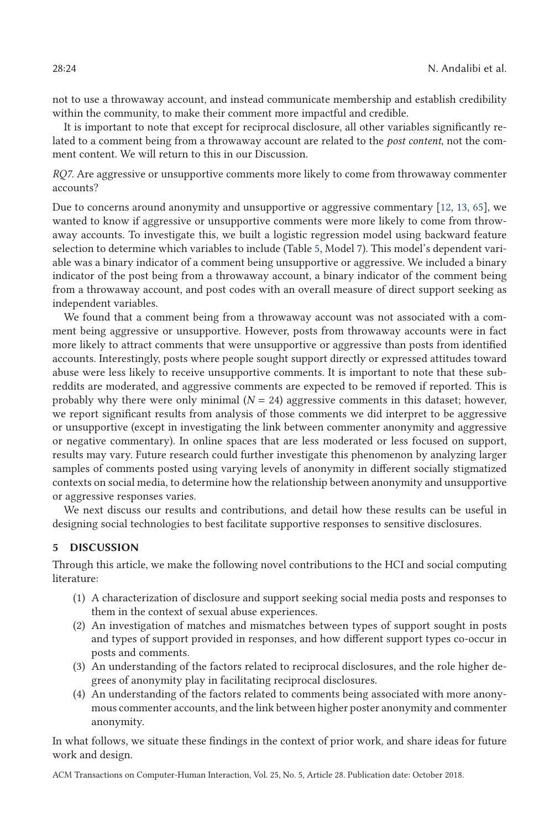not to use a throwaway account, and instead communicate membership and establish credibility within the community, to make their comment more impactful and credible.

It is important to note that except for reciprocal disclosure, all other variables significantly related to a comment being from a throwaway account are related to the *post content*, not the comment content. We will return to this in our Discussion.

*RQ7.* Are aggressive or unsupportive comments more likely to come from throwaway commenter accounts?

Due to concerns around anonymity and unsupportive or aggressive commentary [\[12,](#page-30-0) [13,](#page-30-0) [65\]](#page-32-0), we wanted to know if aggressive or unsupportive comments were more likely to come from throwaway accounts. To investigate this, we built a logistic regression model using backward feature selection to determine which variables to include (Table [5,](#page-21-0) Model 7). This model's dependent variable was a binary indicator of a comment being unsupportive or aggressive. We included a binary indicator of the post being from a throwaway account, a binary indicator of the comment being from a throwaway account, and post codes with an overall measure of direct support seeking as independent variables.

We found that a comment being from a throwaway account was not associated with a comment being aggressive or unsupportive. However, posts from throwaway accounts were in fact more likely to attract comments that were unsupportive or aggressive than posts from identified accounts. Interestingly, posts where people sought support directly or expressed attitudes toward abuse were less likely to receive unsupportive comments. It is important to note that these subreddits are moderated, and aggressive comments are expected to be removed if reported. This is probably why there were only minimal  $(N = 24)$  aggressive comments in this dataset; however, we report significant results from analysis of those comments we did interpret to be aggressive or unsupportive (except in investigating the link between commenter anonymity and aggressive or negative commentary). In online spaces that are less moderated or less focused on support, results may vary. Future research could further investigate this phenomenon by analyzing larger samples of comments posted using varying levels of anonymity in different socially stigmatized contexts on social media, to determine how the relationship between anonymity and unsupportive or aggressive responses varies.

We next discuss our results and contributions, and detail how these results can be useful in designing social technologies to best facilitate supportive responses to sensitive disclosures.

## **5 DISCUSSION**

Through this article, we make the following novel contributions to the HCI and social computing literature:

- (1) A characterization of disclosure and support seeking social media posts and responses to them in the context of sexual abuse experiences.
- (2) An investigation of matches and mismatches between types of support sought in posts and types of support provided in responses, and how different support types co-occur in posts and comments.
- (3) An understanding of the factors related to reciprocal disclosures, and the role higher degrees of anonymity play in facilitating reciprocal disclosures.
- (4) An understanding of the factors related to comments being associated with more anonymous commenter accounts, and the link between higher poster anonymity and commenter anonymity.

In what follows, we situate these findings in the context of prior work, and share ideas for future work and design.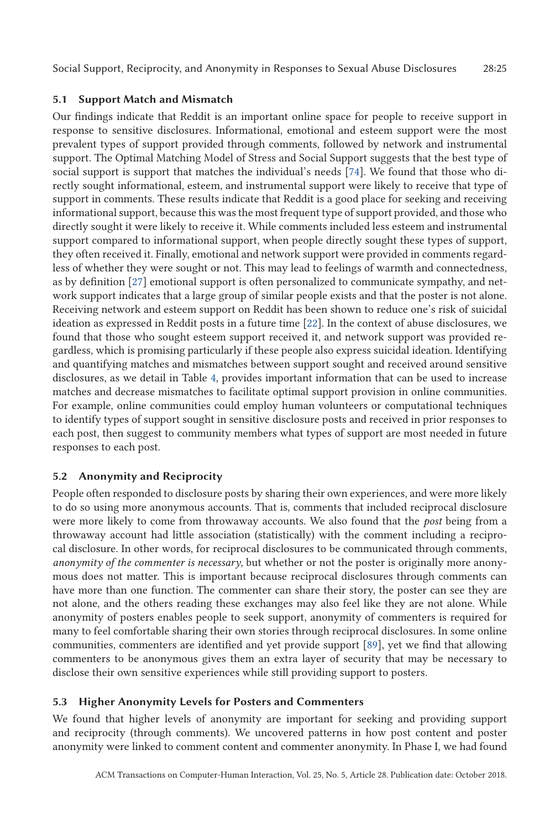Social Support, Reciprocity, and Anonymity in Responses to Sexual Abuse Disclosures 28:25

# **5.1 Support Match and Mismatch**

Our findings indicate that Reddit is an important online space for people to receive support in response to sensitive disclosures. Informational, emotional and esteem support were the most prevalent types of support provided through comments, followed by network and instrumental support. The Optimal Matching Model of Stress and Social Support suggests that the best type of social support is support that matches the individual's needs [\[74\]](#page-32-0). We found that those who directly sought informational, esteem, and instrumental support were likely to receive that type of support in comments. These results indicate that Reddit is a good place for seeking and receiving informational support, because this was the most frequent type of support provided, and those who directly sought it were likely to receive it. While comments included less esteem and instrumental support compared to informational support, when people directly sought these types of support, they often received it. Finally, emotional and network support were provided in comments regardless of whether they were sought or not. This may lead to feelings of warmth and connectedness, as by definition [\[27\]](#page-30-0) emotional support is often personalized to communicate sympathy, and network support indicates that a large group of similar people exists and that the poster is not alone. Receiving network and esteem support on Reddit has been shown to reduce one's risk of suicidal ideation as expressed in Reddit posts in a future time [\[22\]](#page-30-0). In the context of abuse disclosures, we found that those who sought esteem support received it, and network support was provided regardless, which is promising particularly if these people also express suicidal ideation. Identifying and quantifying matches and mismatches between support sought and received around sensitive disclosures, as we detail in Table [4,](#page-19-0) provides important information that can be used to increase matches and decrease mismatches to facilitate optimal support provision in online communities. For example, online communities could employ human volunteers or computational techniques to identify types of support sought in sensitive disclosure posts and received in prior responses to each post, then suggest to community members what types of support are most needed in future responses to each post.

# **5.2 Anonymity and Reciprocity**

People often responded to disclosure posts by sharing their own experiences, and were more likely to do so using more anonymous accounts. That is, comments that included reciprocal disclosure were more likely to come from throwaway accounts. We also found that the *post* being from a throwaway account had little association (statistically) with the comment including a reciprocal disclosure. In other words, for reciprocal disclosures to be communicated through comments, *anonymity of the commenter is necessary*, but whether or not the poster is originally more anonymous does not matter. This is important because reciprocal disclosures through comments can have more than one function. The commenter can share their story, the poster can see they are not alone, and the others reading these exchanges may also feel like they are not alone. While anonymity of posters enables people to seek support, anonymity of commenters is required for many to feel comfortable sharing their own stories through reciprocal disclosures. In some online communities, commenters are identified and yet provide support [\[89\]](#page-33-0), yet we find that allowing commenters to be anonymous gives them an extra layer of security that may be necessary to disclose their own sensitive experiences while still providing support to posters.

# **5.3 Higher Anonymity Levels for Posters and Commenters**

We found that higher levels of anonymity are important for seeking and providing support and reciprocity (through comments). We uncovered patterns in how post content and poster anonymity were linked to comment content and commenter anonymity. In Phase I, we had found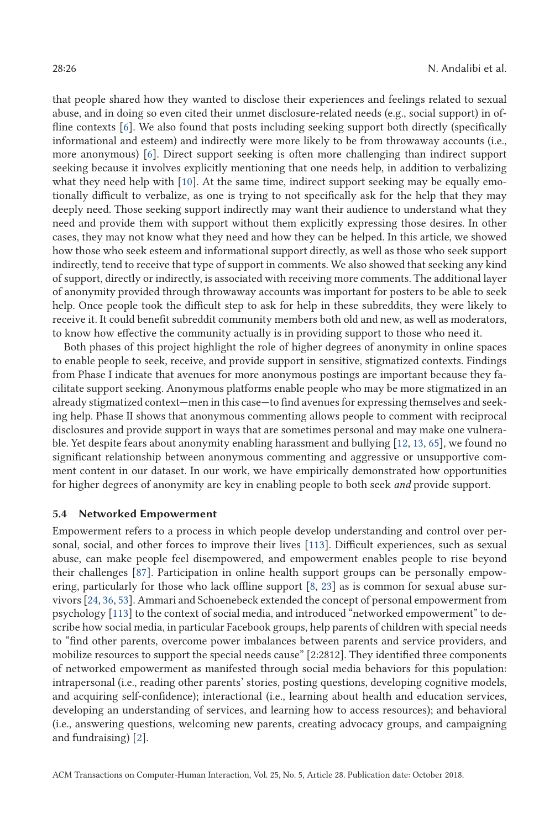that people shared how they wanted to disclose their experiences and feelings related to sexual abuse, and in doing so even cited their unmet disclosure-related needs (e.g., social support) in offline contexts [\[6\]](#page-29-0). We also found that posts including seeking support both directly (specifically informational and esteem) and indirectly were more likely to be from throwaway accounts (i.e., more anonymous) [\[6\]](#page-29-0). Direct support seeking is often more challenging than indirect support seeking because it involves explicitly mentioning that one needs help, in addition to verbalizing what they need help with [\[10\]](#page-30-0). At the same time, indirect support seeking may be equally emotionally difficult to verbalize, as one is trying to not specifically ask for the help that they may deeply need. Those seeking support indirectly may want their audience to understand what they need and provide them with support without them explicitly expressing those desires. In other cases, they may not know what they need and how they can be helped. In this article, we showed how those who seek esteem and informational support directly, as well as those who seek support indirectly, tend to receive that type of support in comments. We also showed that seeking any kind of support, directly or indirectly, is associated with receiving more comments. The additional layer of anonymity provided through throwaway accounts was important for posters to be able to seek help. Once people took the difficult step to ask for help in these subreddits, they were likely to receive it. It could benefit subreddit community members both old and new, as well as moderators, to know how effective the community actually is in providing support to those who need it.

Both phases of this project highlight the role of higher degrees of anonymity in online spaces to enable people to seek, receive, and provide support in sensitive, stigmatized contexts. Findings from Phase I indicate that avenues for more anonymous postings are important because they facilitate support seeking. Anonymous platforms enable people who may be more stigmatized in an already stigmatized context—men in this case—to find avenues for expressing themselves and seeking help. Phase II shows that anonymous commenting allows people to comment with reciprocal disclosures and provide support in ways that are sometimes personal and may make one vulnerable. Yet despite fears about anonymity enabling harassment and bullying [\[12,](#page-30-0) [13,](#page-30-0) [65\]](#page-32-0), we found no significant relationship between anonymous commenting and aggressive or unsupportive comment content in our dataset. In our work, we have empirically demonstrated how opportunities for higher degrees of anonymity are key in enabling people to both seek *and* provide support.

#### **5.4 Networked Empowerment**

Empowerment refers to a process in which people develop understanding and control over personal, social, and other forces to improve their lives [\[113\]](#page-34-0). Difficult experiences, such as sexual abuse, can make people feel disempowered, and empowerment enables people to rise beyond their challenges [\[87\]](#page-33-0). Participation in online health support groups can be personally empowering, particularly for those who lack offline support [\[8,](#page-30-0) [23\]](#page-30-0) as is common for sexual abuse survivors [\[24,](#page-30-0) [36,](#page-31-0) [53\]](#page-32-0). Ammari and Schoenebeck extended the concept of personal empowerment from psychology [\[113\]](#page-34-0) to the context of social media, and introduced "networked empowerment" to describe how social media, in particular Facebook groups, help parents of children with special needs to "find other parents, overcome power imbalances between parents and service providers, and mobilize resources to support the special needs cause" [2:2812]. They identified three components of networked empowerment as manifested through social media behaviors for this population: intrapersonal (i.e., reading other parents' stories, posting questions, developing cognitive models, and acquiring self-confidence); interactional (i.e., learning about health and education services, developing an understanding of services, and learning how to access resources); and behavioral (i.e., answering questions, welcoming new parents, creating advocacy groups, and campaigning and fundraising) [\[2\]](#page-29-0).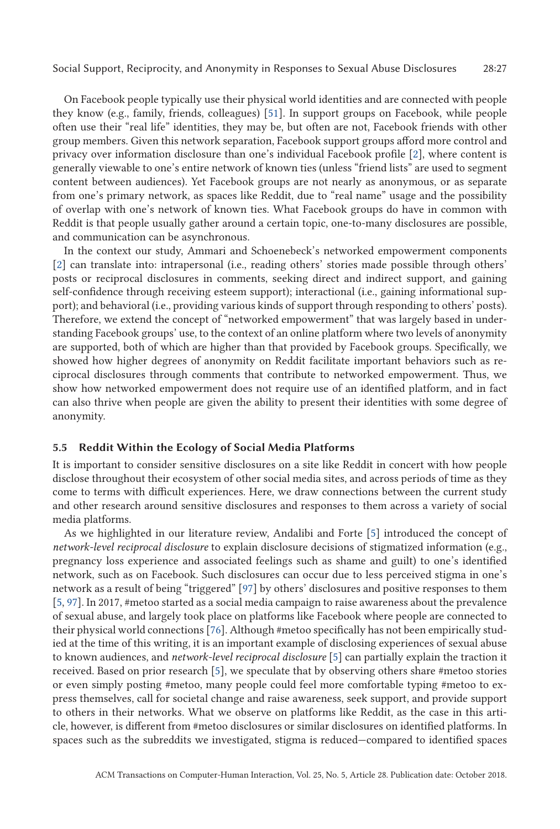On Facebook people typically use their physical world identities and are connected with people they know (e.g., family, friends, colleagues) [\[51\]](#page-31-0). In support groups on Facebook, while people often use their "real life" identities, they may be, but often are not, Facebook friends with other group members. Given this network separation, Facebook support groups afford more control and privacy over information disclosure than one's individual Facebook profile [\[2\]](#page-29-0), where content is generally viewable to one's entire network of known ties (unless "friend lists" are used to segment content between audiences). Yet Facebook groups are not nearly as anonymous, or as separate from one's primary network, as spaces like Reddit, due to "real name" usage and the possibility of overlap with one's network of known ties. What Facebook groups do have in common with Reddit is that people usually gather around a certain topic, one-to-many disclosures are possible, and communication can be asynchronous.

In the context our study, Ammari and Schoenebeck's networked empowerment components [\[2\]](#page-29-0) can translate into: intrapersonal (i.e., reading others' stories made possible through others' posts or reciprocal disclosures in comments, seeking direct and indirect support, and gaining self-confidence through receiving esteem support); interactional (i.e., gaining informational support); and behavioral (i.e., providing various kinds of support through responding to others' posts). Therefore, we extend the concept of "networked empowerment" that was largely based in understanding Facebook groups' use, to the context of an online platform where two levels of anonymity are supported, both of which are higher than that provided by Facebook groups. Specifically, we showed how higher degrees of anonymity on Reddit facilitate important behaviors such as reciprocal disclosures through comments that contribute to networked empowerment. Thus, we show how networked empowerment does not require use of an identified platform, and in fact can also thrive when people are given the ability to present their identities with some degree of anonymity.

#### **5.5 Reddit Within the Ecology of Social Media Platforms**

It is important to consider sensitive disclosures on a site like Reddit in concert with how people disclose throughout their ecosystem of other social media sites, and across periods of time as they come to terms with difficult experiences. Here, we draw connections between the current study and other research around sensitive disclosures and responses to them across a variety of social media platforms.

As we highlighted in our literature review, Andalibi and Forte [\[5\]](#page-29-0) introduced the concept of *network-level reciprocal disclosure* to explain disclosure decisions of stigmatized information (e.g., pregnancy loss experience and associated feelings such as shame and guilt) to one's identified network, such as on Facebook. Such disclosures can occur due to less perceived stigma in one's network as a result of being "triggered" [\[97\]](#page-33-0) by others' disclosures and positive responses to them [\[5,](#page-29-0) [97\]](#page-33-0). In 2017, #metoo started as a social media campaign to raise awareness about the prevalence of sexual abuse, and largely took place on platforms like Facebook where people are connected to their physical world connections [\[76\]](#page-33-0). Although #metoo specifically has not been empirically studied at the time of this writing, it is an important example of disclosing experiences of sexual abuse to known audiences, and *network-level reciprocal disclosure* [\[5\]](#page-29-0) can partially explain the traction it received. Based on prior research [\[5\]](#page-29-0), we speculate that by observing others share #metoo stories or even simply posting #metoo, many people could feel more comfortable typing #metoo to express themselves, call for societal change and raise awareness, seek support, and provide support to others in their networks. What we observe on platforms like Reddit, as the case in this article, however, is different from #metoo disclosures or similar disclosures on identified platforms. In spaces such as the subreddits we investigated, stigma is reduced—compared to identified spaces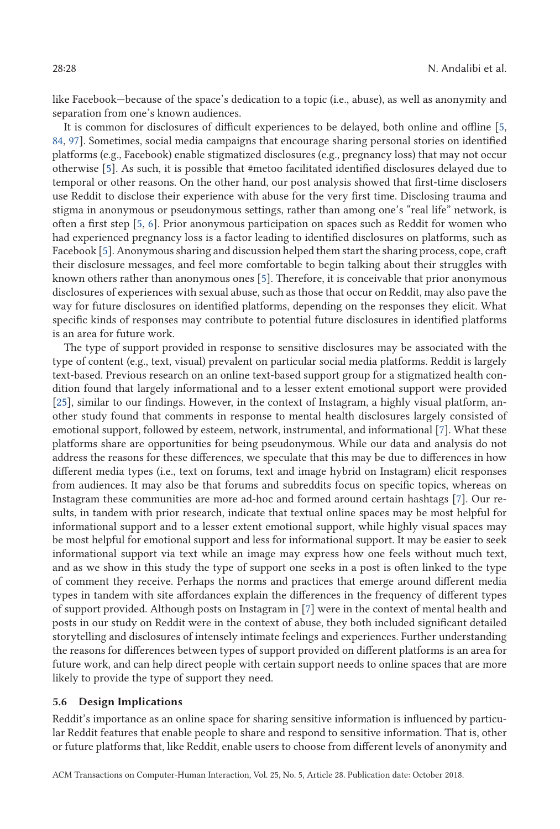like Facebook—because of the space's dedication to a topic (i.e., abuse), as well as anonymity and separation from one's known audiences.

It is common for disclosures of difficult experiences to be delayed, both online and offline [\[5,](#page-29-0) [84,](#page-33-0) [97\]](#page-33-0). Sometimes, social media campaigns that encourage sharing personal stories on identified platforms (e.g., Facebook) enable stigmatized disclosures (e.g., pregnancy loss) that may not occur otherwise [\[5\]](#page-29-0). As such, it is possible that #metoo facilitated identified disclosures delayed due to temporal or other reasons. On the other hand, our post analysis showed that first-time disclosers use Reddit to disclose their experience with abuse for the very first time. Disclosing trauma and stigma in anonymous or pseudonymous settings, rather than among one's "real life" network, is often a first step [\[5,](#page-29-0) [6\]](#page-29-0). Prior anonymous participation on spaces such as Reddit for women who had experienced pregnancy loss is a factor leading to identified disclosures on platforms, such as Facebook [\[5\]](#page-29-0). Anonymous sharing and discussion helped them start the sharing process, cope, craft their disclosure messages, and feel more comfortable to begin talking about their struggles with known others rather than anonymous ones [\[5\]](#page-29-0). Therefore, it is conceivable that prior anonymous disclosures of experiences with sexual abuse, such as those that occur on Reddit, may also pave the way for future disclosures on identified platforms, depending on the responses they elicit. What specific kinds of responses may contribute to potential future disclosures in identified platforms is an area for future work.

The type of support provided in response to sensitive disclosures may be associated with the type of content (e.g., text, visual) prevalent on particular social media platforms. Reddit is largely text-based. Previous research on an online text-based support group for a stigmatized health condition found that largely informational and to a lesser extent emotional support were provided [\[25\]](#page-30-0), similar to our findings. However, in the context of Instagram, a highly visual platform, another study found that comments in response to mental health disclosures largely consisted of emotional support, followed by esteem, network, instrumental, and informational [\[7\]](#page-30-0). What these platforms share are opportunities for being pseudonymous. While our data and analysis do not address the reasons for these differences, we speculate that this may be due to differences in how different media types (i.e., text on forums, text and image hybrid on Instagram) elicit responses from audiences. It may also be that forums and subreddits focus on specific topics, whereas on Instagram these communities are more ad-hoc and formed around certain hashtags [\[7\]](#page-30-0). Our results, in tandem with prior research, indicate that textual online spaces may be most helpful for informational support and to a lesser extent emotional support, while highly visual spaces may be most helpful for emotional support and less for informational support. It may be easier to seek informational support via text while an image may express how one feels without much text, and as we show in this study the type of support one seeks in a post is often linked to the type of comment they receive. Perhaps the norms and practices that emerge around different media types in tandem with site affordances explain the differences in the frequency of different types of support provided. Although posts on Instagram in [\[7\]](#page-30-0) were in the context of mental health and posts in our study on Reddit were in the context of abuse, they both included significant detailed storytelling and disclosures of intensely intimate feelings and experiences. Further understanding the reasons for differences between types of support provided on different platforms is an area for future work, and can help direct people with certain support needs to online spaces that are more likely to provide the type of support they need.

#### **5.6 Design Implications**

Reddit's importance as an online space for sharing sensitive information is influenced by particular Reddit features that enable people to share and respond to sensitive information. That is, other or future platforms that, like Reddit, enable users to choose from different levels of anonymity and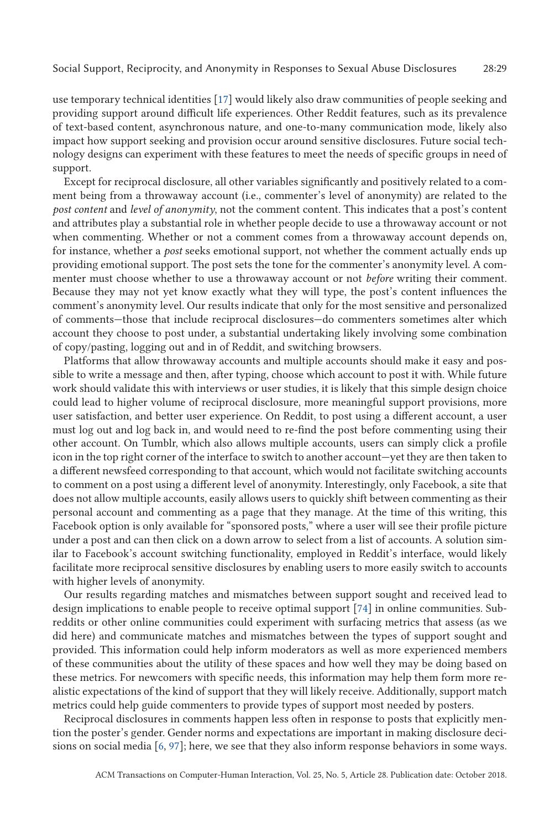use temporary technical identities [\[17\]](#page-30-0) would likely also draw communities of people seeking and providing support around difficult life experiences. Other Reddit features, such as its prevalence of text-based content, asynchronous nature, and one-to-many communication mode, likely also impact how support seeking and provision occur around sensitive disclosures. Future social technology designs can experiment with these features to meet the needs of specific groups in need of support.

Except for reciprocal disclosure, all other variables significantly and positively related to a comment being from a throwaway account (i.e., commenter's level of anonymity) are related to the *post content* and *level of anonymity*, not the comment content. This indicates that a post's content and attributes play a substantial role in whether people decide to use a throwaway account or not when commenting. Whether or not a comment comes from a throwaway account depends on, for instance, whether a *post* seeks emotional support, not whether the comment actually ends up providing emotional support. The post sets the tone for the commenter's anonymity level. A commenter must choose whether to use a throwaway account or not *before* writing their comment. Because they may not yet know exactly what they will type, the post's content influences the comment's anonymity level. Our results indicate that only for the most sensitive and personalized of comments—those that include reciprocal disclosures—do commenters sometimes alter which account they choose to post under, a substantial undertaking likely involving some combination of copy/pasting, logging out and in of Reddit, and switching browsers.

Platforms that allow throwaway accounts and multiple accounts should make it easy and possible to write a message and then, after typing, choose which account to post it with. While future work should validate this with interviews or user studies, it is likely that this simple design choice could lead to higher volume of reciprocal disclosure, more meaningful support provisions, more user satisfaction, and better user experience. On Reddit, to post using a different account, a user must log out and log back in, and would need to re-find the post before commenting using their other account. On Tumblr, which also allows multiple accounts, users can simply click a profile icon in the top right corner of the interface to switch to another account—yet they are then taken to a different newsfeed corresponding to that account, which would not facilitate switching accounts to comment on a post using a different level of anonymity. Interestingly, only Facebook, a site that does not allow multiple accounts, easily allows users to quickly shift between commenting as their personal account and commenting as a page that they manage. At the time of this writing, this Facebook option is only available for "sponsored posts," where a user will see their profile picture under a post and can then click on a down arrow to select from a list of accounts. A solution similar to Facebook's account switching functionality, employed in Reddit's interface, would likely facilitate more reciprocal sensitive disclosures by enabling users to more easily switch to accounts with higher levels of anonymity.

Our results regarding matches and mismatches between support sought and received lead to design implications to enable people to receive optimal support [\[74\]](#page-32-0) in online communities. Subreddits or other online communities could experiment with surfacing metrics that assess (as we did here) and communicate matches and mismatches between the types of support sought and provided. This information could help inform moderators as well as more experienced members of these communities about the utility of these spaces and how well they may be doing based on these metrics. For newcomers with specific needs, this information may help them form more realistic expectations of the kind of support that they will likely receive. Additionally, support match metrics could help guide commenters to provide types of support most needed by posters.

Reciprocal disclosures in comments happen less often in response to posts that explicitly mention the poster's gender. Gender norms and expectations are important in making disclosure decisions on social media [\[6,](#page-29-0) [97\]](#page-33-0); here, we see that they also inform response behaviors in some ways.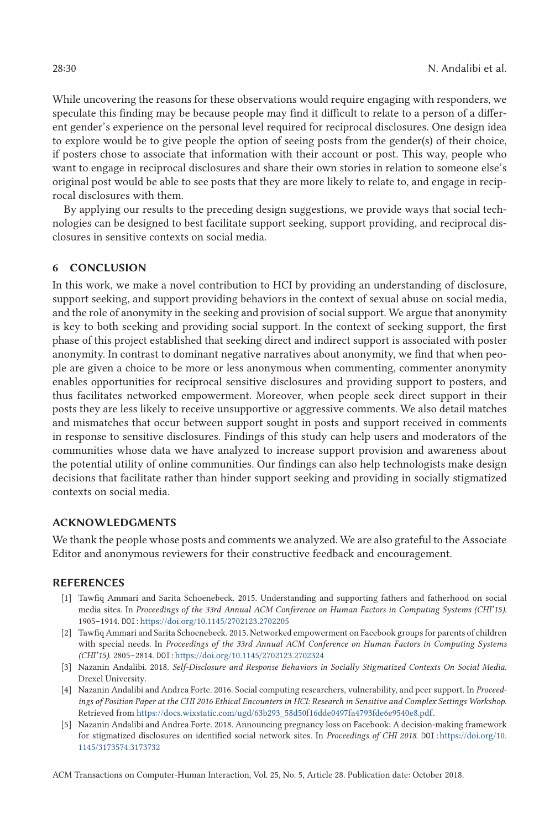<span id="page-29-0"></span>While uncovering the reasons for these observations would require engaging with responders, we speculate this finding may be because people may find it difficult to relate to a person of a different gender's experience on the personal level required for reciprocal disclosures. One design idea to explore would be to give people the option of seeing posts from the gender(s) of their choice, if posters chose to associate that information with their account or post. This way, people who want to engage in reciprocal disclosures and share their own stories in relation to someone else's original post would be able to see posts that they are more likely to relate to, and engage in reciprocal disclosures with them.

By applying our results to the preceding design suggestions, we provide ways that social technologies can be designed to best facilitate support seeking, support providing, and reciprocal disclosures in sensitive contexts on social media.

# **6 CONCLUSION**

In this work, we make a novel contribution to HCI by providing an understanding of disclosure, support seeking, and support providing behaviors in the context of sexual abuse on social media, and the role of anonymity in the seeking and provision of social support. We argue that anonymity is key to both seeking and providing social support. In the context of seeking support, the first phase of this project established that seeking direct and indirect support is associated with poster anonymity. In contrast to dominant negative narratives about anonymity, we find that when people are given a choice to be more or less anonymous when commenting, commenter anonymity enables opportunities for reciprocal sensitive disclosures and providing support to posters, and thus facilitates networked empowerment. Moreover, when people seek direct support in their posts they are less likely to receive unsupportive or aggressive comments. We also detail matches and mismatches that occur between support sought in posts and support received in comments in response to sensitive disclosures. Findings of this study can help users and moderators of the communities whose data we have analyzed to increase support provision and awareness about the potential utility of online communities. Our findings can also help technologists make design decisions that facilitate rather than hinder support seeking and providing in socially stigmatized contexts on social media.

#### **ACKNOWLEDGMENTS**

We thank the people whose posts and comments we analyzed. We are also grateful to the Associate Editor and anonymous reviewers for their constructive feedback and encouragement.

#### **REFERENCES**

- [1] Tawfiq Ammari and Sarita Schoenebeck. 2015. Understanding and supporting fathers and fatherhood on social media sites. In *Proceedings of the 33rd Annual ACM Conference on Human Factors in Computing Systems (CHI'15)*. 1905–1914. DOI:<https://doi.org/10.1145/2702123.2702205>
- [2] Tawfiq Ammari and Sarita Schoenebeck. 2015. Networked empowerment on Facebook groups for parents of children with special needs. In *Proceedings of the 33rd Annual ACM Conference on Human Factors in Computing Systems (CHI'15)*. 2805–2814. DOI:<https://doi.org/10.1145/2702123.2702324>
- [3] Nazanin Andalibi. 2018. *Self-Disclosure and Response Behaviors in Socially Stigmatized Contexts On Social Media*. Drexel University.
- [4] Nazanin Andalibi and Andrea Forte. 2016. Social computing researchers, vulnerability, and peer support. In *Proceedings of Position Paper at the CHI 2016 Ethical Encounters in HCI: Research in Sensitive and Complex Settings Workshop*. Retrieved from [https://docs.wixstatic.com/ugd/63b293\\_58d50f16dde0497fa4793fde6e9540e8.pdf.](https://docs.wixstatic.com/ugd/63b293_58d50f16dde0497fa4793fde6e9540e8.pdf)
- [5] Nazanin Andalibi and Andrea Forte. 2018. Announcing pregnancy loss on Facebook: A decision-making framework for stigmatized disclosures on identified social network sites. In *Proceedings of CHI 2018*. DOI:[https://doi.org/10.](https://doi.org/10.1145/3173574.3173732) [1145/3173574.3173732](https://doi.org/10.1145/3173574.3173732)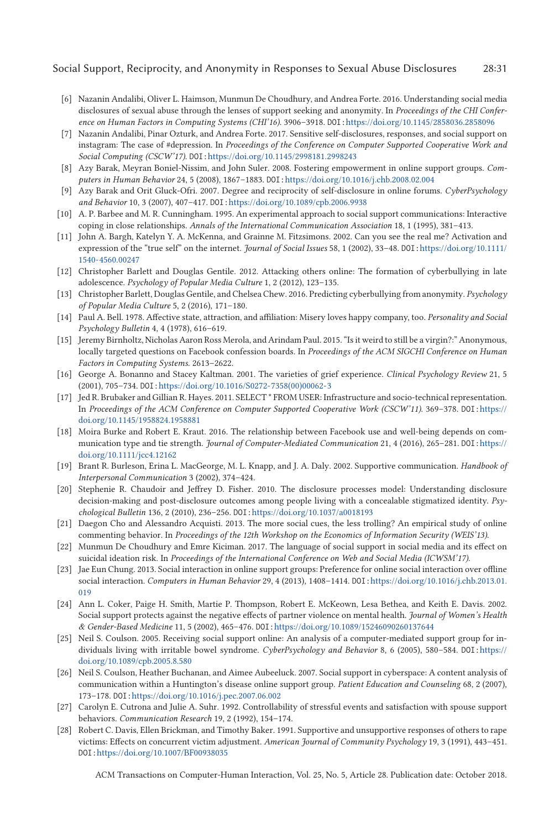- <span id="page-30-0"></span>[6] Nazanin Andalibi, Oliver L. Haimson, Munmun De Choudhury, and Andrea Forte. 2016. Understanding social media disclosures of sexual abuse through the lenses of support seeking and anonymity. In *Proceedings of the CHI Conference on Human Factors in Computing Systems (CHI'16)*. 3906–3918. DOI:<https://doi.org/10.1145/2858036.2858096>
- [7] Nazanin Andalibi, Pinar Ozturk, and Andrea Forte. 2017. Sensitive self-disclosures, responses, and social support on instagram: The case of #depression. In *Proceedings of the Conference on Computer Supported Cooperative Work and Social Computing (CSCW'17)*. DOI:<https://doi.org/10.1145/2998181.2998243>
- [8] Azy Barak, Meyran Boniel-Nissim, and John Suler. 2008. Fostering empowerment in online support groups. *Computers in Human Behavior* 24, 5 (2008), 1867–1883. DOI:<https://doi.org/10.1016/j.chb.2008.02.004>
- [9] Azy Barak and Orit Gluck-Ofri. 2007. Degree and reciprocity of self-disclosure in online forums. *CyberPsychology and Behavior* 10, 3 (2007), 407–417. DOI:<https://doi.org/10.1089/cpb.2006.9938>
- [10] A. P. Barbee and M. R. Cunningham. 1995. An experimental approach to social support communications: Interactive coping in close relationships. *Annals of the International Communication Association* 18, 1 (1995), 381–413.
- [11] John A. Bargh, Katelyn Y. A. McKenna, and Grainne M. Fitzsimons. 2002. Can you see the real me? Activation and expression of the "true self" on the internet. *Journal of Social Issues* 58, 1 (2002), 33–48. DOI:[https://doi.org/10.1111/](https://doi.org/10.1111/1540-4560.00247) [1540-4560.00247](https://doi.org/10.1111/1540-4560.00247)
- [12] Christopher Barlett and Douglas Gentile. 2012. Attacking others online: The formation of cyberbullying in late adolescence. *Psychology of Popular Media Culture* 1, 2 (2012), 123–135.
- [13] Christopher Barlett, Douglas Gentile, and Chelsea Chew. 2016. Predicting cyberbullying from anonymity. *Psychology of Popular Media Culture* 5, 2 (2016), 171–180.
- [14] Paul A. Bell. 1978. Affective state, attraction, and affiliation: Misery loves happy company, too. *Personality and Social Psychology Bulletin* 4, 4 (1978), 616–619.
- [15] Jeremy Birnholtz, Nicholas Aaron Ross Merola, and Arindam Paul. 2015. "Is it weird to still be a virgin?:" Anonymous, locally targeted questions on Facebook confession boards. In *Proceedings of the ACM SIGCHI Conference on Human Factors in Computing Systems*. 2613–2622.
- [16] George A. Bonanno and Stacey Kaltman. 2001. The varieties of grief experience. *Clinical Psychology Review* 21, 5 (2001), 705–734. DOI:[https://doi.org/10.1016/S0272-7358\(00\)00062-3](https://doi.org/10.1016/S0272-7358(00)00062-3)
- [17] Jed R. Brubaker and Gillian R. Hayes. 2011. SELECT \* FROM USER: Infrastructure and socio-technical representation. In *Proceedings of the ACM Conference on Computer Supported Cooperative Work (CSCW'11)*. 369–378. DOI:[https://](https://doi.org/10.1145/1958824.1958881) [doi.org/10.1145/1958824.1958881](https://doi.org/10.1145/1958824.1958881)
- [18] Moira Burke and Robert E. Kraut. 2016. The relationship between Facebook use and well-being depends on communication type and tie strength. *Journal of Computer-Mediated Communication* 21, 4 (2016), 265–281. DOI:[https://](https://doi.org/10.1111/jcc4.12162) [doi.org/10.1111/jcc4.12162](https://doi.org/10.1111/jcc4.12162)
- [19] Brant R. Burleson, Erina L. MacGeorge, M. L. Knapp, and J. A. Daly. 2002. Supportive communication. *Handbook of Interpersonal Communication* 3 (2002), 374–424.
- [20] Stephenie R. Chaudoir and Jeffrey D. Fisher. 2010. The disclosure processes model: Understanding disclosure decision-making and post-disclosure outcomes among people living with a concealable stigmatized identity. *Psychological Bulletin* 136, 2 (2010), 236–256. DOI:<https://doi.org/10.1037/a0018193>
- [21] Daegon Cho and Alessandro Acquisti. 2013. The more social cues, the less trolling? An empirical study of online commenting behavior. In *Proceedings of the 12th Workshop on the Economics of Information Security (WEIS'13)*.
- [22] Munmun De Choudhury and Emre Kiciman. 2017. The language of social support in social media and its effect on suicidal ideation risk. In *Proceedings of the International Conference on Web and Social Media (ICWSM'17)*.
- [23] Jae Eun Chung. 2013. Social interaction in online support groups: Preference for online social interaction over offline social interaction. *Computers in Human Behavior* 29, 4 (2013), 1408–1414. DOI:[https://doi.org/10.1016/j.chb.2013.01.](https://doi.org/10.1016/j.chb.2013.01.019) [019](https://doi.org/10.1016/j.chb.2013.01.019)
- [24] Ann L. Coker, Paige H. Smith, Martie P. Thompson, Robert E. McKeown, Lesa Bethea, and Keith E. Davis. 2002. Social support protects against the negative effects of partner violence on mental health. *Journal of Women's Health & Gender-Based Medicine* 11, 5 (2002), 465–476. DOI:<https://doi.org/10.1089/15246090260137644>
- [25] Neil S. Coulson. 2005. Receiving social support online: An analysis of a computer-mediated support group for individuals living with irritable bowel syndrome. *CyberPsychology and Behavior* 8, 6 (2005), 580–584. DOI:[https://](https://doi.org/10.1089/cpb.2005.8.580) [doi.org/10.1089/cpb.2005.8.580](https://doi.org/10.1089/cpb.2005.8.580)
- [26] Neil S. Coulson, Heather Buchanan, and Aimee Aubeeluck. 2007. Social support in cyberspace: A content analysis of communication within a Huntington's disease online support group. *Patient Education and Counseling* 68, 2 (2007), 173–178. DOI:<https://doi.org/10.1016/j.pec.2007.06.002>
- [27] Carolyn E. Cutrona and Julie A. Suhr. 1992. Controllability of stressful events and satisfaction with spouse support behaviors. *Communication Research* 19, 2 (1992), 154–174.
- [28] Robert C. Davis, Ellen Brickman, and Timothy Baker. 1991. Supportive and unsupportive responses of others to rape victims: Effects on concurrent victim adjustment. *American Journal of Community Psychology* 19, 3 (1991), 443–451. DOI:<https://doi.org/10.1007/BF00938035>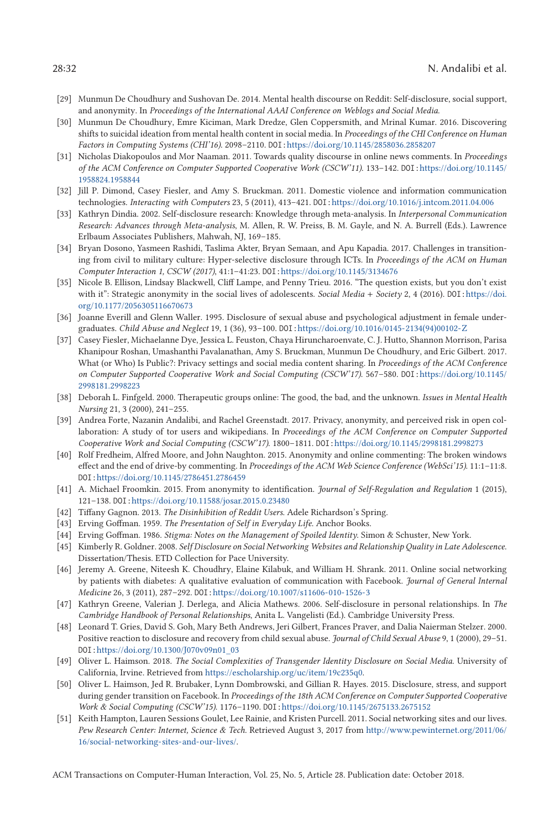- <span id="page-31-0"></span>[29] Munmun De Choudhury and Sushovan De. 2014. Mental health discourse on Reddit: Self-disclosure, social support, and anonymity. In *Proceedings of the International AAAI Conference on Weblogs and Social Media*.
- [30] Munmun De Choudhury, Emre Kiciman, Mark Dredze, Glen Coppersmith, and Mrinal Kumar. 2016. Discovering shifts to suicidal ideation from mental health content in social media. In *Proceedings of the CHI Conference on Human Factors in Computing Systems (CHI'16)*. 2098–2110. DOI:<https://doi.org/10.1145/2858036.2858207>
- [31] Nicholas Diakopoulos and Mor Naaman. 2011. Towards quality discourse in online news comments. In *Proceedings of the ACM Conference on Computer Supported Cooperative Work (CSCW'11)*. 133–142. DOI:[https://doi.org/10.1145/](https://doi.org/10.1145/1958824.1958844) [1958824.1958844](https://doi.org/10.1145/1958824.1958844)
- [32] Jill P. Dimond, Casey Fiesler, and Amy S. Bruckman. 2011. Domestic violence and information communication technologies. *Interacting with Computers* 23, 5 (2011), 413–421. DOI:<https://doi.org/10.1016/j.intcom.2011.04.006>
- [33] Kathryn Dindia. 2002. Self-disclosure research: Knowledge through meta-analysis. In *Interpersonal Communication Research: Advances through Meta-analysis*, M. Allen, R. W. Preiss, B. M. Gayle, and N. A. Burrell (Eds.). Lawrence Erlbaum Associates Publishers, Mahwah, NJ, 169–185.
- [34] Bryan Dosono, Yasmeen Rashidi, Taslima Akter, Bryan Semaan, and Apu Kapadia. 2017. Challenges in transitioning from civil to military culture: Hyper-selective disclosure through ICTs. In *Proceedings of the ACM on Human Computer Interaction 1, CSCW (2017)*, 41:1–41:23. DOI:<https://doi.org/10.1145/3134676>
- [35] Nicole B. Ellison, Lindsay Blackwell, Cliff Lampe, and Penny Trieu. 2016. "The question exists, but you don't exist with it": Strategic anonymity in the social lives of adolescents. *Social Media* + *Society* 2, 4 (2016). DOI:[https://doi.](https://doi.org/10.1177/2056305116670673) [org/10.1177/2056305116670673](https://doi.org/10.1177/2056305116670673)
- [36] Joanne Everill and Glenn Waller. 1995. Disclosure of sexual abuse and psychological adjustment in female undergraduates. *Child Abuse and Neglect* 19, 1 (36), 93–100. DOI:[https://doi.org/10.1016/0145-2134\(94\)00102-Z](https://doi.org/10.1016/0145-2134(94)00102-Z)
- [37] Casey Fiesler, Michaelanne Dye, Jessica L. Feuston, Chaya Hiruncharoenvate, C. J. Hutto, Shannon Morrison, Parisa Khanipour Roshan, Umashanthi Pavalanathan, Amy S. Bruckman, Munmun De Choudhury, and Eric Gilbert. 2017. What (or Who) Is Public?: Privacy settings and social media content sharing. In *Proceedings of the ACM Conference on Computer Supported Cooperative Work and Social Computing (CSCW'17)*. 567–580. DOI:[https://doi.org/10.1145/](https://doi.org/10.1145/2998181.2998223) [2998181.2998223](https://doi.org/10.1145/2998181.2998223)
- [38] Deborah L. Finfgeld. 2000. Therapeutic groups online: The good, the bad, and the unknown. *Issues in Mental Health Nursing* 21, 3 (2000), 241–255.
- [39] Andrea Forte, Nazanin Andalibi, and Rachel Greenstadt. 2017. Privacy, anonymity, and perceived risk in open collaboration: A study of tor users and wikipedians. In *Proceedings of the ACM Conference on Computer Supported Cooperative Work and Social Computing (CSCW'17)*. 1800–1811. DOI:<https://doi.org/10.1145/2998181.2998273>
- [40] Rolf Fredheim, Alfred Moore, and John Naughton. 2015. Anonymity and online commenting: The broken windows effect and the end of drive-by commenting. In *Proceedings of the ACM Web Science Conference (WebSci'15)*. 11:1–11:8. DOI:<https://doi.org/10.1145/2786451.2786459>
- [41] A. Michael Froomkin. 2015. From anonymity to identification. *Journal of Self-Regulation and Regulation* 1 (2015), 121–138. DOI:<https://doi.org/10.11588/josar.2015.0.23480>
- [42] Tiffany Gagnon. 2013. *The Disinhibition of Reddit Users*. Adele Richardson's Spring.
- [43] Erving Goffman. 1959. *The Presentation of Self in Everyday Life*. Anchor Books.
- [44] Erving Goffman. 1986. *Stigma: Notes on the Management of Spoiled Identity*. Simon & Schuster, New York.
- [45] Kimberly R. Goldner. 2008. *Self Disclosure on Social Networking Websites and Relationship Quality in Late Adolescence*. Dissertation/Thesis. ETD Collection for Pace University.
- [46] Jeremy A. Greene, Niteesh K. Choudhry, Elaine Kilabuk, and William H. Shrank. 2011. Online social networking by patients with diabetes: A qualitative evaluation of communication with Facebook. *Journal of General Internal Medicine* 26, 3 (2011), 287–292. DOI:<https://doi.org/10.1007/s11606-010-1526-3>
- [47] Kathryn Greene, Valerian J. Derlega, and Alicia Mathews. 2006. Self-disclosure in personal relationships. In *The Cambridge Handbook of Personal Relationships*, Anita L. Vangelisti (Ed.). Cambridge University Press.
- [48] Leonard T. Gries, David S. Goh, Mary Beth Andrews, Jeri Gilbert, Frances Praver, and Dalia Naierman Stelzer. 2000. Positive reaction to disclosure and recovery from child sexual abuse. *Journal of Child Sexual Abuse* 9, 1 (2000), 29–51. DOI:[https://doi.org/10.1300/J070v09n01\\_03](https://doi.org/10.1300/J070v09n01_03)
- [49] Oliver L. Haimson. 2018. *The Social Complexities of Transgender Identity Disclosure on Social Media*. University of California, Irvine. Retrieved from [https://escholarship.org/uc/item/19c235q0.](https://escholarship.org/uc/item/19c235q0)
- [50] Oliver L. Haimson, Jed R. Brubaker, Lynn Dombrowski, and Gillian R. Hayes. 2015. Disclosure, stress, and support during gender transition on Facebook. In *Proceedings of the 18th ACM Conference on Computer Supported Cooperative Work & Social Computing (CSCW'15)*. 1176–1190. DOI:<https://doi.org/10.1145/2675133.2675152>
- [51] Keith Hampton, Lauren Sessions Goulet, Lee Rainie, and Kristen Purcell. 2011. Social networking sites and our lives. *Pew Research Center: Internet, Science & Tech*. Retrieved August 3, 2017 from [http://www.pewinternet.org/2011/06/](http://www.pewinternet.org/2011/06/16/social-networking-sites-and-our-lives/) [16/social-networking-sites-and-our-lives/.](http://www.pewinternet.org/2011/06/16/social-networking-sites-and-our-lives/)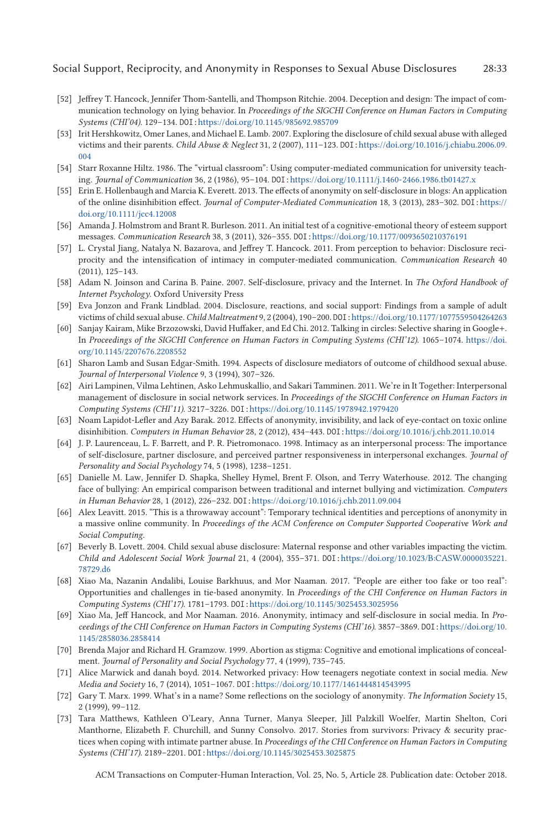- <span id="page-32-0"></span>[52] Jeffrey T. Hancock, Jennifer Thom-Santelli, and Thompson Ritchie. 2004. Deception and design: The impact of communication technology on lying behavior. In *Proceedings of the SIGCHI Conference on Human Factors in Computing Systems (CHI'04)*. 129–134. DOI:<https://doi.org/10.1145/985692.985709>
- [53] Irit Hershkowitz, Omer Lanes, and Michael E. Lamb. 2007. Exploring the disclosure of child sexual abuse with alleged victims and their parents. *Child Abuse & Neglect* 31, 2 (2007), 111–123. DOI:[https://doi.org/10.1016/j.chiabu.2006.09.](https://doi.org/10.1016/j.chiabu.2006.09.004) [004](https://doi.org/10.1016/j.chiabu.2006.09.004)
- [54] Starr Roxanne Hiltz. 1986. The "virtual classroom": Using computer-mediated communication for university teaching. *Journal of Communication* 36, 2 (1986), 95–104. DOI:<https://doi.org/10.1111/j.1460-2466.1986.tb01427.x>
- [55] Erin E. Hollenbaugh and Marcia K. Everett. 2013. The effects of anonymity on self-disclosure in blogs: An application of the online disinhibition effect. *Journal of Computer-Mediated Communication* 18, 3 (2013), 283–302. DOI:[https://](https://doi.org/10.1111/jcc4.12008) [doi.org/10.1111/jcc4.12008](https://doi.org/10.1111/jcc4.12008)
- [56] Amanda J. Holmstrom and Brant R. Burleson. 2011. An initial test of a cognitive-emotional theory of esteem support messages. *Communication Research* 38, 3 (2011), 326–355. DOI:<https://doi.org/10.1177/0093650210376191>
- [57] L. Crystal Jiang, Natalya N. Bazarova, and Jeffrey T. Hancock. 2011. From perception to behavior: Disclosure reciprocity and the intensification of intimacy in computer-mediated communication. *Communication Research* 40 (2011), 125–143.
- [58] Adam N. Joinson and Carina B. Paine. 2007. Self-disclosure, privacy and the Internet. In *The Oxford Handbook of Internet Psychology*. Oxford University Press
- [59] Eva Jonzon and Frank Lindblad. 2004. Disclosure, reactions, and social support: Findings from a sample of adult victims of child sexual abuse. *Child Maltreatment* 9, 2 (2004), 190–200. DOI:<https://doi.org/10.1177/1077559504264263>
- [60] Sanjay Kairam, Mike Brzozowski, David Huffaker, and Ed Chi. 2012. Talking in circles: Selective sharing in Google+. In *Proceedings of the SIGCHI Conference on Human Factors in Computing Systems (CHI'12)*. 1065–1074. [https://doi.](https://doi.org/10.1145/2207676.2208552) [org/10.1145/2207676.2208552](https://doi.org/10.1145/2207676.2208552)
- [61] Sharon Lamb and Susan Edgar-Smith. 1994. Aspects of disclosure mediators of outcome of childhood sexual abuse. *Journal of Interpersonal Violence* 9, 3 (1994), 307–326.
- [62] Airi Lampinen, Vilma Lehtinen, Asko Lehmuskallio, and Sakari Tamminen. 2011. We're in It Together: Interpersonal management of disclosure in social network services. In *Proceedings of the SIGCHI Conference on Human Factors in Computing Systems (CHI'11)*. 3217–3226. DOI:<https://doi.org/10.1145/1978942.1979420>
- [63] Noam Lapidot-Lefler and Azy Barak. 2012. Effects of anonymity, invisibility, and lack of eye-contact on toxic online disinhibition. *Computers in Human Behavior* 28, 2 (2012), 434–443. DOI:<https://doi.org/10.1016/j.chb.2011.10.014>
- [64] J. P. Laurenceau, L. F. Barrett, and P. R. Pietromonaco. 1998. Intimacy as an interpersonal process: The importance of self-disclosure, partner disclosure, and perceived partner responsiveness in interpersonal exchanges. *Journal of Personality and Social Psychology* 74, 5 (1998), 1238–1251.
- [65] Danielle M. Law, Jennifer D. Shapka, Shelley Hymel, Brent F. Olson, and Terry Waterhouse. 2012. The changing face of bullying: An empirical comparison between traditional and internet bullying and victimization. *Computers in Human Behavior* 28, 1 (2012), 226–232. DOI:<https://doi.org/10.1016/j.chb.2011.09.004>
- [66] Alex Leavitt. 2015. "This is a throwaway account": Temporary technical identities and perceptions of anonymity in a massive online community. In *Proceedings of the ACM Conference on Computer Supported Cooperative Work and Social Computing*.
- [67] Beverly B. Lovett. 2004. Child sexual abuse disclosure: Maternal response and other variables impacting the victim. *Child and Adolescent Social Work Journal* 21, 4 (2004), 355–371. DOI:[https://doi.org/10.1023/B:CASW.0000035221.](https://doi.org/10.1023/B:CASW.0000035221.78729.d6) [78729.d6](https://doi.org/10.1023/B:CASW.0000035221.78729.d6)
- [68] Xiao Ma, Nazanin Andalibi, Louise Barkhuus, and Mor Naaman. 2017. "People are either too fake or too real": Opportunities and challenges in tie-based anonymity. In *Proceedings of the CHI Conference on Human Factors in Computing Systems (CHI'17)*. 1781–1793. DOI:<https://doi.org/10.1145/3025453.3025956>
- [69] Xiao Ma, Jeff Hancock, and Mor Naaman. 2016. Anonymity, intimacy and self-disclosure in social media. In *Proceedings of the CHI Conference on Human Factors in Computing Systems (CHI'16)*. 3857–3869. DOI:[https://doi.org/10.](https://doi.org/10.1145/2858036.2858414) [1145/2858036.2858414](https://doi.org/10.1145/2858036.2858414)
- [70] Brenda Major and Richard H. Gramzow. 1999. Abortion as stigma: Cognitive and emotional implications of concealment. *Journal of Personality and Social Psychology* 77, 4 (1999), 735–745.
- [71] Alice Marwick and danah boyd. 2014. Networked privacy: How teenagers negotiate context in social media. *New Media and Society* 16, 7 (2014), 1051–1067. DOI:<https://doi.org/10.1177/1461444814543995>
- [72] Gary T. Marx. 1999. What's in a name? Some reflections on the sociology of anonymity. *The Information Society* 15, 2 (1999), 99–112.
- [73] Tara Matthews, Kathleen O'Leary, Anna Turner, Manya Sleeper, Jill Palzkill Woelfer, Martin Shelton, Cori Manthorne, Elizabeth F. Churchill, and Sunny Consolvo. 2017. Stories from survivors: Privacy & security practices when coping with intimate partner abuse. In *Proceedings of the CHI Conference on Human Factors in Computing Systems (CHI'17)*. 2189–2201. DOI:<https://doi.org/10.1145/3025453.3025875>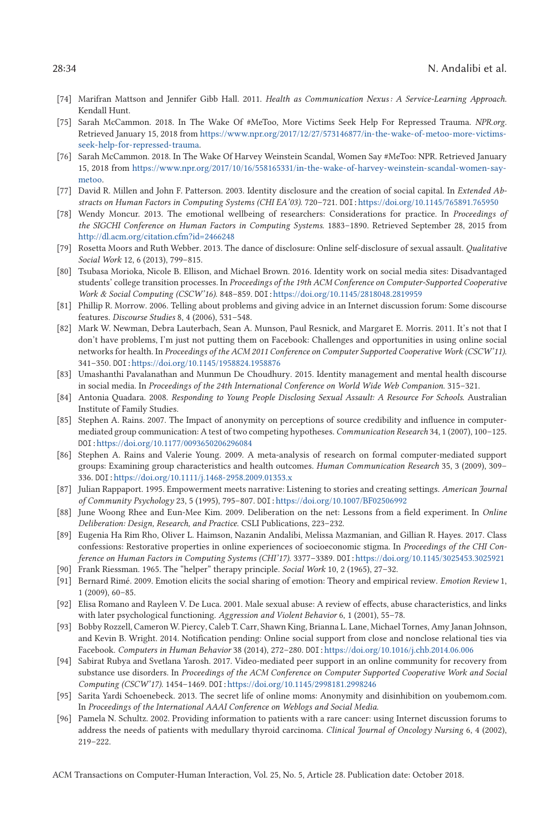- <span id="page-33-0"></span>[74] Marifran Mattson and Jennifer Gibb Hall. 2011. *Health as Communication Nexus : A Service-Learning Approach*. Kendall Hunt.
- [75] Sarah McCammon. 2018. In The Wake Of #MeToo, More Victims Seek Help For Repressed Trauma. *NPR.org.* Retrieved January 15, 2018 from [https://www.npr.org/2017/12/27/573146877/in-the-wake-of-metoo-more-victims](https://www.npr.org/2017/12/27/573146877/in-the-wake-of-metoo-more-victims-seek-help-for-repressed-trauma)[seek-help-for-repressed-trauma.](https://www.npr.org/2017/12/27/573146877/in-the-wake-of-metoo-more-victims-seek-help-for-repressed-trauma)
- [76] Sarah McCammon. 2018. In The Wake Of Harvey Weinstein Scandal, Women Say #MeToo: NPR. Retrieved January 15, 2018 from [https://www.npr.org/2017/10/16/558165331/in-the-wake-of-harvey-weinstein-scandal-women-say](https://www.npr.org/2017/10/16/558165331/in-the-wake-of-harvey-weinstein-scandal-women-say-metoo)[metoo.](https://www.npr.org/2017/10/16/558165331/in-the-wake-of-harvey-weinstein-scandal-women-say-metoo)
- [77] David R. Millen and John F. Patterson. 2003. Identity disclosure and the creation of social capital. In *Extended Abstracts on Human Factors in Computing Systems (CHI EA'03)*. 720–721. DOI:<https://doi.org/10.1145/765891.765950>
- [78] Wendy Moncur. 2013. The emotional wellbeing of researchers: Considerations for practice. In *Proceedings of the SIGCHI Conference on Human Factors in Computing Systems*. 1883–1890. Retrieved September 28, 2015 from <http://dl.acm.org/citation.cfm?id=2466248>
- [79] Rosetta Moors and Ruth Webber. 2013. The dance of disclosure: Online self-disclosure of sexual assault. *Qualitative Social Work* 12, 6 (2013), 799–815.
- [80] Tsubasa Morioka, Nicole B. Ellison, and Michael Brown. 2016. Identity work on social media sites: Disadvantaged students' college transition processes. In *Proceedings of the 19th ACM Conference on Computer-Supported Cooperative Work & Social Computing (CSCW'16)*. 848–859. DOI:<https://doi.org/10.1145/2818048.2819959>
- [81] Phillip R. Morrow. 2006. Telling about problems and giving advice in an Internet discussion forum: Some discourse features. *Discourse Studies* 8, 4 (2006), 531–548.
- [82] Mark W. Newman, Debra Lauterbach, Sean A. Munson, Paul Resnick, and Margaret E. Morris. 2011. It's not that I don't have problems, I'm just not putting them on Facebook: Challenges and opportunities in using online social networks for health. In *Proceedings of the ACM 2011 Conference on Computer Supported Cooperative Work (CSCW'11)*. 341–350. DOI:<https://doi.org/10.1145/1958824.1958876>
- [83] Umashanthi Pavalanathan and Munmun De Choudhury. 2015. Identity management and mental health discourse in social media. In *Proceedings of the 24th International Conference on World Wide Web Companion*. 315–321.
- [84] Antonia Quadara. 2008. *Responding to Young People Disclosing Sexual Assault: A Resource For Schools*. Australian Institute of Family Studies.
- [85] Stephen A. Rains. 2007. The Impact of anonymity on perceptions of source credibility and influence in computermediated group communication: A test of two competing hypotheses. *Communication Research* 34, 1 (2007), 100–125. DOI:<https://doi.org/10.1177/0093650206296084>
- [86] Stephen A. Rains and Valerie Young. 2009. A meta-analysis of research on formal computer-mediated support groups: Examining group characteristics and health outcomes. *Human Communication Research* 35, 3 (2009), 309– 336. DOI:<https://doi.org/10.1111/j.1468-2958.2009.01353.x>
- [87] Julian Rappaport. 1995. Empowerment meets narrative: Listening to stories and creating settings. *American Journal of Community Psychology* 23, 5 (1995), 795–807. DOI:<https://doi.org/10.1007/BF02506992>
- [88] June Woong Rhee and Eun-Mee Kim. 2009. Deliberation on the net: Lessons from a field experiment. In *Online Deliberation: Design, Research, and Practice*. CSLI Publications, 223–232.
- [89] Eugenia Ha Rim Rho, Oliver L. Haimson, Nazanin Andalibi, Melissa Mazmanian, and Gillian R. Hayes. 2017. Class confessions: Restorative properties in online experiences of socioeconomic stigma. In *Proceedings of the CHI Conference on Human Factors in Computing Systems (CHI'17)*. 3377–3389. DOI:<https://doi.org/10.1145/3025453.3025921>
- [90] Frank Riessman. 1965. The "helper" therapy principle. *Social Work* 10, 2 (1965), 27–32.
- [91] Bernard Rimé. 2009. Emotion elicits the social sharing of emotion: Theory and empirical review. *Emotion Review* 1, 1 (2009), 60–85.
- [92] Elisa Romano and Rayleen V. De Luca. 2001. Male sexual abuse: A review of effects, abuse characteristics, and links with later psychological functioning. *Aggression and Violent Behavior* 6, 1 (2001), 55–78.
- [93] Bobby Rozzell, Cameron W. Piercy, Caleb T. Carr, Shawn King, Brianna L. Lane, Michael Tornes, Amy Janan Johnson, and Kevin B. Wright. 2014. Notification pending: Online social support from close and nonclose relational ties via Facebook. *Computers in Human Behavior* 38 (2014), 272–280. DOI:<https://doi.org/10.1016/j.chb.2014.06.006>
- [94] Sabirat Rubya and Svetlana Yarosh. 2017. Video-mediated peer support in an online community for recovery from substance use disorders. In *Proceedings of the ACM Conference on Computer Supported Cooperative Work and Social Computing (CSCW'17)*. 1454–1469. DOI:<https://doi.org/10.1145/2998181.2998246>
- [95] Sarita Yardi Schoenebeck. 2013. The secret life of online moms: Anonymity and disinhibition on youbemom.com. In *Proceedings of the International AAAI Conference on Weblogs and Social Media*.
- [96] Pamela N. Schultz. 2002. Providing information to patients with a rare cancer: using Internet discussion forums to address the needs of patients with medullary thyroid carcinoma. *Clinical Journal of Oncology Nursing* 6, 4 (2002), 219–222.